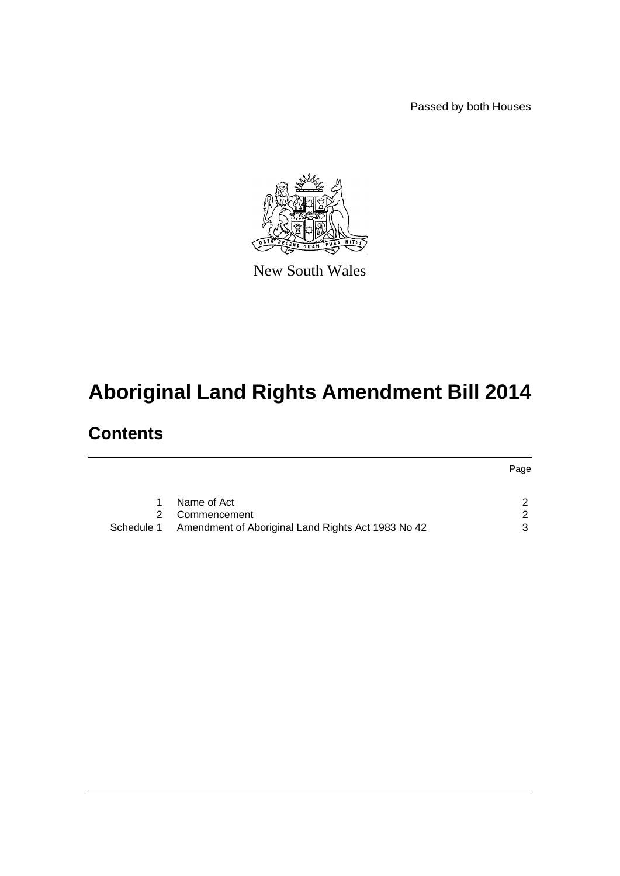Passed by both Houses



New South Wales

# **Aboriginal Land Rights Amendment Bill 2014**

# **Contents**

|                                                               | Page |
|---------------------------------------------------------------|------|
|                                                               |      |
| Name of Act                                                   | ົ    |
| 2 Commencement                                                | - 2  |
| Schedule 1 Amendment of Aboriginal Land Rights Act 1983 No 42 | ર    |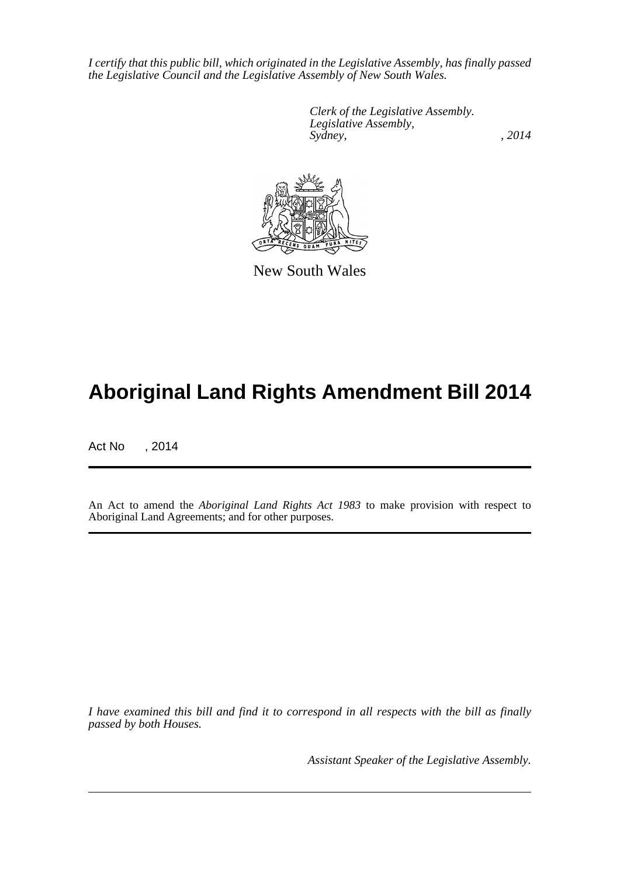*I certify that this public bill, which originated in the Legislative Assembly, has finally passed the Legislative Council and the Legislative Assembly of New South Wales.*

> *Clerk of the Legislative Assembly. Legislative Assembly, Sydney,* , 2014



New South Wales

# **Aboriginal Land Rights Amendment Bill 2014**

Act No , 2014

An Act to amend the *Aboriginal Land Rights Act 1983* to make provision with respect to Aboriginal Land Agreements; and for other purposes.

*I have examined this bill and find it to correspond in all respects with the bill as finally passed by both Houses.*

*Assistant Speaker of the Legislative Assembly.*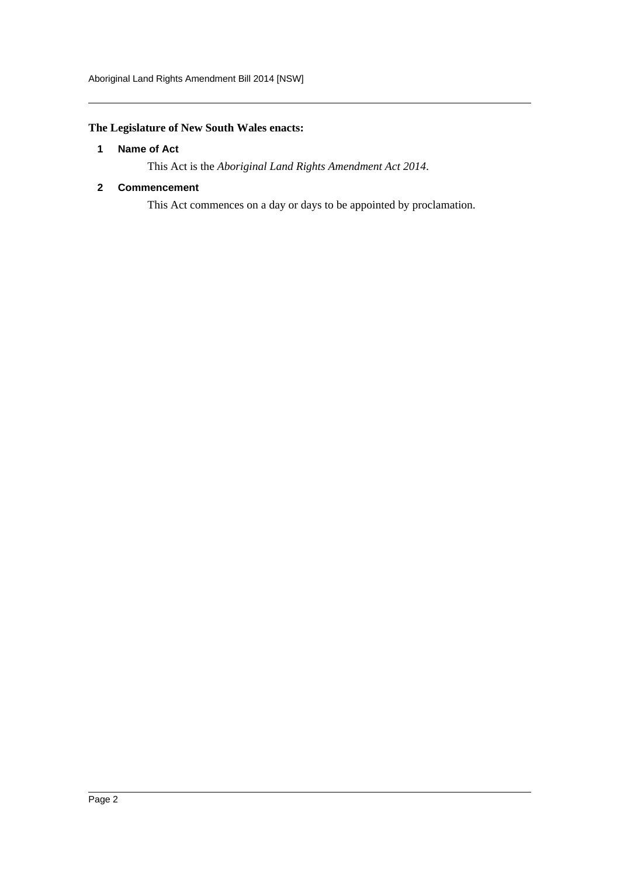## <span id="page-2-0"></span>**The Legislature of New South Wales enacts:**

#### **1 Name of Act**

This Act is the *Aboriginal Land Rights Amendment Act 2014*.

## <span id="page-2-1"></span>**2 Commencement**

This Act commences on a day or days to be appointed by proclamation.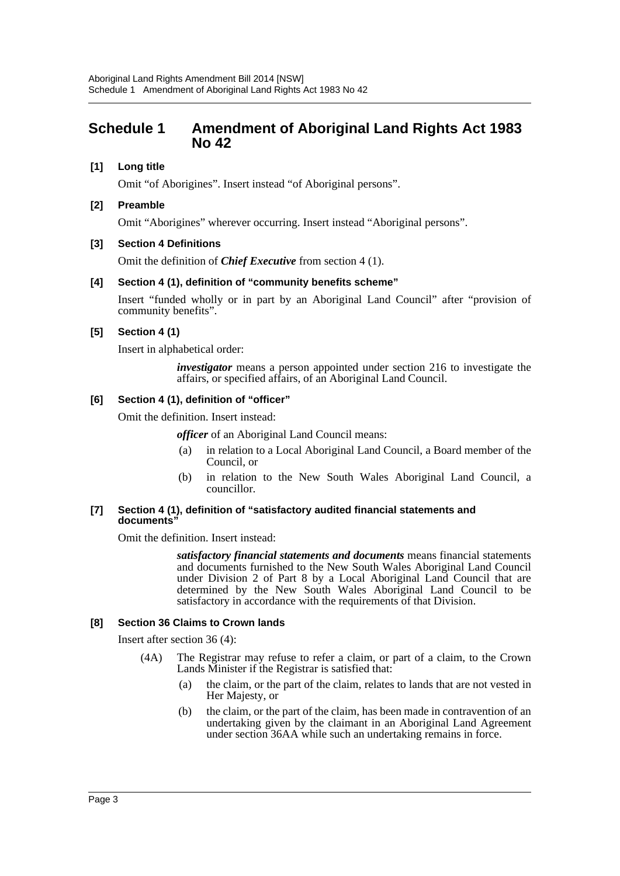## <span id="page-3-0"></span>**Schedule 1 Amendment of Aboriginal Land Rights Act 1983 No 42**

## **[1] Long title**

Omit "of Aborigines". Insert instead "of Aboriginal persons".

#### **[2] Preamble**

Omit "Aborigines" wherever occurring. Insert instead "Aboriginal persons".

#### **[3] Section 4 Definitions**

Omit the definition of *Chief Executive* from section 4 (1).

#### **[4] Section 4 (1), definition of "community benefits scheme"**

Insert "funded wholly or in part by an Aboriginal Land Council" after "provision of community benefits".

#### **[5] Section 4 (1)**

Insert in alphabetical order:

*investigator* means a person appointed under section 216 to investigate the affairs, or specified affairs, of an Aboriginal Land Council.

#### **[6] Section 4 (1), definition of "officer"**

Omit the definition. Insert instead:

*officer* of an Aboriginal Land Council means:

- (a) in relation to a Local Aboriginal Land Council, a Board member of the Council, or
- (b) in relation to the New South Wales Aboriginal Land Council, a councillor.

#### **[7] Section 4 (1), definition of "satisfactory audited financial statements and documents"**

Omit the definition. Insert instead:

*satisfactory financial statements and documents* means financial statements and documents furnished to the New South Wales Aboriginal Land Council under Division 2 of Part 8 by a Local Aboriginal Land Council that are determined by the New South Wales Aboriginal Land Council to be satisfactory in accordance with the requirements of that Division.

#### **[8] Section 36 Claims to Crown lands**

Insert after section 36 (4):

- (4A) The Registrar may refuse to refer a claim, or part of a claim, to the Crown Lands Minister if the Registrar is satisfied that:
	- (a) the claim, or the part of the claim, relates to lands that are not vested in Her Majesty, or
	- (b) the claim, or the part of the claim, has been made in contravention of an undertaking given by the claimant in an Aboriginal Land Agreement under section 36AA while such an undertaking remains in force.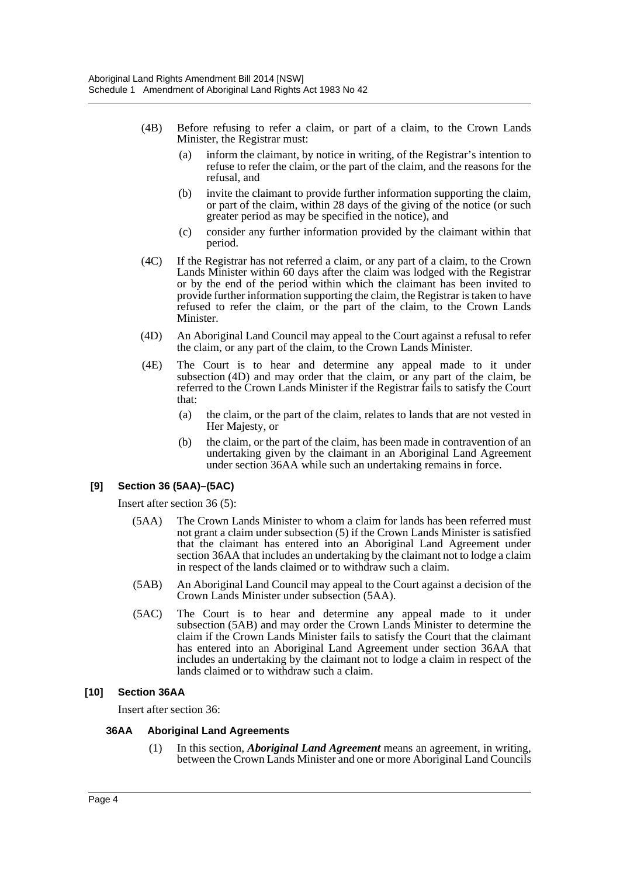- (4B) Before refusing to refer a claim, or part of a claim, to the Crown Lands Minister, the Registrar must:
	- (a) inform the claimant, by notice in writing, of the Registrar's intention to refuse to refer the claim, or the part of the claim, and the reasons for the refusal, and
	- (b) invite the claimant to provide further information supporting the claim, or part of the claim, within 28 days of the giving of the notice (or such greater period as may be specified in the notice), and
	- (c) consider any further information provided by the claimant within that period.
- (4C) If the Registrar has not referred a claim, or any part of a claim, to the Crown Lands Minister within 60 days after the claim was lodged with the Registrar or by the end of the period within which the claimant has been invited to provide further information supporting the claim, the Registrar is taken to have refused to refer the claim, or the part of the claim, to the Crown Lands Minister.
- (4D) An Aboriginal Land Council may appeal to the Court against a refusal to refer the claim, or any part of the claim, to the Crown Lands Minister.
- (4E) The Court is to hear and determine any appeal made to it under subsection (4D) and may order that the claim, or any part of the claim, be referred to the Crown Lands Minister if the Registrar fails to satisfy the Court that:
	- (a) the claim, or the part of the claim, relates to lands that are not vested in Her Majesty, or
	- (b) the claim, or the part of the claim, has been made in contravention of an undertaking given by the claimant in an Aboriginal Land Agreement under section 36AA while such an undertaking remains in force.

## **[9] Section 36 (5AA)–(5AC)**

Insert after section 36 (5):

- (5AA) The Crown Lands Minister to whom a claim for lands has been referred must not grant a claim under subsection (5) if the Crown Lands Minister is satisfied that the claimant has entered into an Aboriginal Land Agreement under section 36AA that includes an undertaking by the claimant not to lodge a claim in respect of the lands claimed or to withdraw such a claim.
- (5AB) An Aboriginal Land Council may appeal to the Court against a decision of the Crown Lands Minister under subsection (5AA).
- (5AC) The Court is to hear and determine any appeal made to it under subsection (5AB) and may order the Crown Lands Minister to determine the claim if the Crown Lands Minister fails to satisfy the Court that the claimant has entered into an Aboriginal Land Agreement under section 36AA that includes an undertaking by the claimant not to lodge a claim in respect of the lands claimed or to withdraw such a claim.

#### **[10] Section 36AA**

Insert after section 36:

#### **36AA Aboriginal Land Agreements**

(1) In this section, *Aboriginal Land Agreement* means an agreement, in writing, between the Crown Lands Minister and one or more Aboriginal Land Councils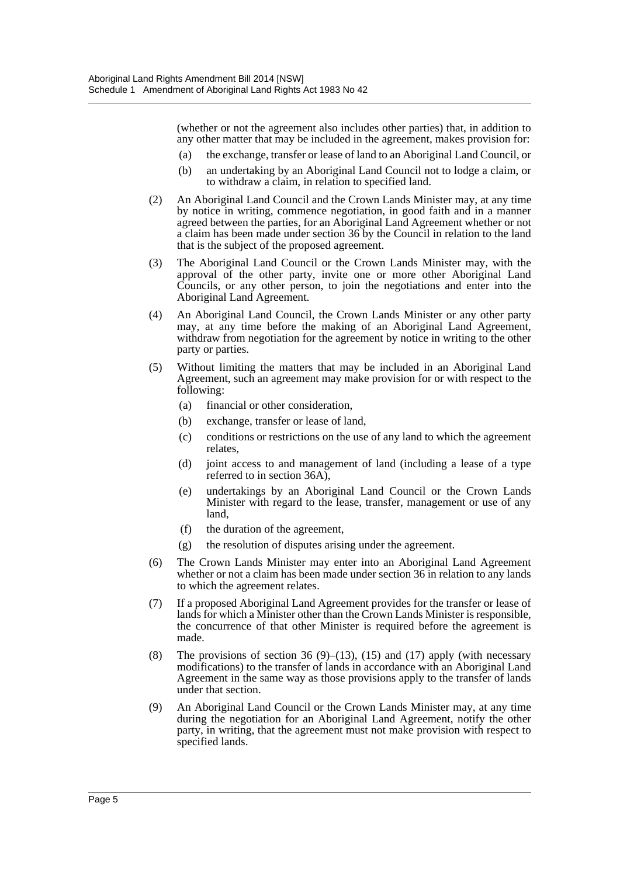(whether or not the agreement also includes other parties) that, in addition to any other matter that may be included in the agreement, makes provision for:

- (a) the exchange, transfer or lease of land to an Aboriginal Land Council, or
- (b) an undertaking by an Aboriginal Land Council not to lodge a claim, or to withdraw a claim, in relation to specified land.
- (2) An Aboriginal Land Council and the Crown Lands Minister may, at any time by notice in writing, commence negotiation, in good faith and in a manner agreed between the parties, for an Aboriginal Land Agreement whether or not a claim has been made under section 36 by the Council in relation to the land that is the subject of the proposed agreement.
- (3) The Aboriginal Land Council or the Crown Lands Minister may, with the approval of the other party, invite one or more other Aboriginal Land Councils, or any other person, to join the negotiations and enter into the Aboriginal Land Agreement.
- (4) An Aboriginal Land Council, the Crown Lands Minister or any other party may, at any time before the making of an Aboriginal Land Agreement, withdraw from negotiation for the agreement by notice in writing to the other party or parties.
- (5) Without limiting the matters that may be included in an Aboriginal Land Agreement, such an agreement may make provision for or with respect to the following:
	- (a) financial or other consideration,
	- (b) exchange, transfer or lease of land,
	- (c) conditions or restrictions on the use of any land to which the agreement relates,
	- (d) joint access to and management of land (including a lease of a type referred to in section 36A),
	- (e) undertakings by an Aboriginal Land Council or the Crown Lands Minister with regard to the lease, transfer, management or use of any land,
	- (f) the duration of the agreement,
	- (g) the resolution of disputes arising under the agreement.
- (6) The Crown Lands Minister may enter into an Aboriginal Land Agreement whether or not a claim has been made under section 36 in relation to any lands to which the agreement relates.
- (7) If a proposed Aboriginal Land Agreement provides for the transfer or lease of lands for which a Minister other than the Crown Lands Minister is responsible, the concurrence of that other Minister is required before the agreement is made.
- (8) The provisions of section 36 (9)–(13), (15) and (17) apply (with necessary modifications) to the transfer of lands in accordance with an Aboriginal Land Agreement in the same way as those provisions apply to the transfer of lands under that section.
- (9) An Aboriginal Land Council or the Crown Lands Minister may, at any time during the negotiation for an Aboriginal Land Agreement, notify the other party, in writing, that the agreement must not make provision with respect to specified lands.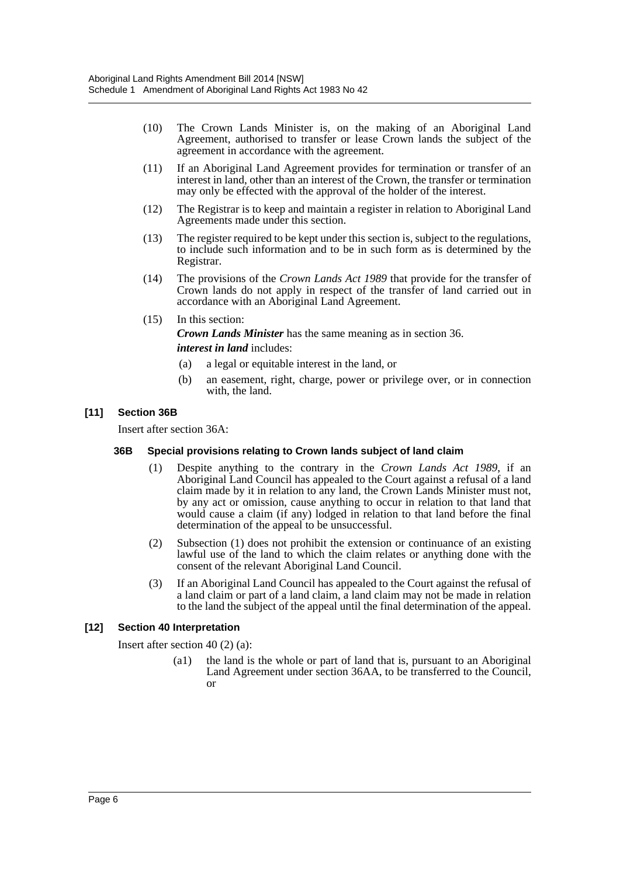- (10) The Crown Lands Minister is, on the making of an Aboriginal Land Agreement, authorised to transfer or lease Crown lands the subject of the agreement in accordance with the agreement.
- (11) If an Aboriginal Land Agreement provides for termination or transfer of an interest in land, other than an interest of the Crown, the transfer or termination may only be effected with the approval of the holder of the interest.
- (12) The Registrar is to keep and maintain a register in relation to Aboriginal Land Agreements made under this section.
- (13) The register required to be kept under this section is, subject to the regulations, to include such information and to be in such form as is determined by the Registrar.
- (14) The provisions of the *Crown Lands Act 1989* that provide for the transfer of Crown lands do not apply in respect of the transfer of land carried out in accordance with an Aboriginal Land Agreement.
- (15) In this section:

*Crown Lands Minister* has the same meaning as in section 36. *interest in land* includes:

- (a) a legal or equitable interest in the land, or
- (b) an easement, right, charge, power or privilege over, or in connection with, the land.

#### **[11] Section 36B**

Insert after section 36A:

#### **36B Special provisions relating to Crown lands subject of land claim**

- (1) Despite anything to the contrary in the *Crown Lands Act 1989*, if an Aboriginal Land Council has appealed to the Court against a refusal of a land claim made by it in relation to any land, the Crown Lands Minister must not, by any act or omission, cause anything to occur in relation to that land that would cause a claim (if any) lodged in relation to that land before the final determination of the appeal to be unsuccessful.
- (2) Subsection (1) does not prohibit the extension or continuance of an existing lawful use of the land to which the claim relates or anything done with the consent of the relevant Aboriginal Land Council.
- (3) If an Aboriginal Land Council has appealed to the Court against the refusal of a land claim or part of a land claim, a land claim may not be made in relation to the land the subject of the appeal until the final determination of the appeal.

## **[12] Section 40 Interpretation**

Insert after section 40 (2) (a):

(a1) the land is the whole or part of land that is, pursuant to an Aboriginal Land Agreement under section 36AA, to be transferred to the Council, or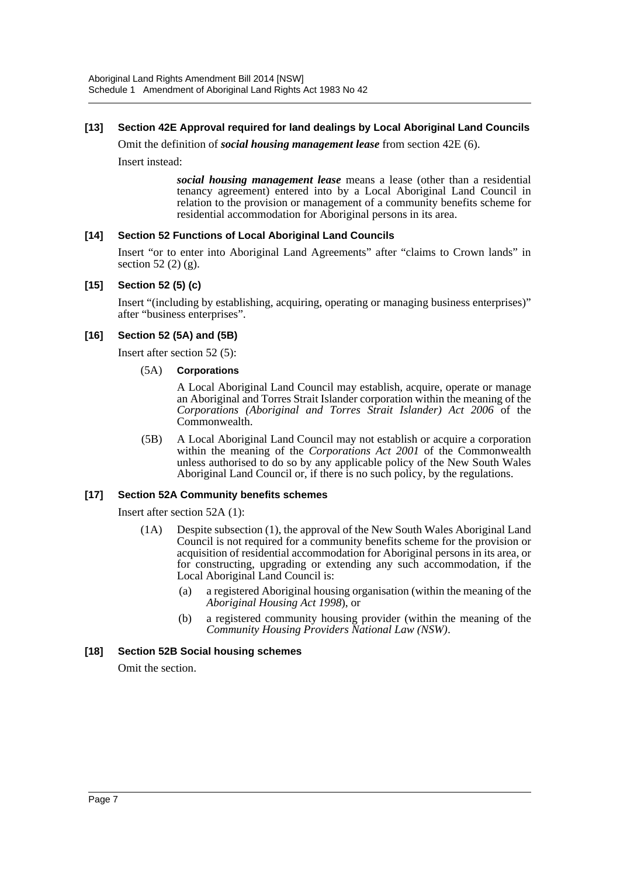## **[13] Section 42E Approval required for land dealings by Local Aboriginal Land Councils**

Omit the definition of *social housing management lease* from section 42E (6).

Insert instead:

*social housing management lease* means a lease (other than a residential tenancy agreement) entered into by a Local Aboriginal Land Council in relation to the provision or management of a community benefits scheme for residential accommodation for Aboriginal persons in its area.

#### **[14] Section 52 Functions of Local Aboriginal Land Councils**

Insert "or to enter into Aboriginal Land Agreements" after "claims to Crown lands" in section 52 $(2)$  $(g)$ .

#### **[15] Section 52 (5) (c)**

Insert "(including by establishing, acquiring, operating or managing business enterprises)" after "business enterprises".

#### **[16] Section 52 (5A) and (5B)**

Insert after section 52 (5):

#### (5A) **Corporations**

A Local Aboriginal Land Council may establish, acquire, operate or manage an Aboriginal and Torres Strait Islander corporation within the meaning of the *Corporations (Aboriginal and Torres Strait Islander) Act 2006* of the Commonwealth.

(5B) A Local Aboriginal Land Council may not establish or acquire a corporation within the meaning of the *Corporations Act 2001* of the Commonwealth unless authorised to do so by any applicable policy of the New South Wales Aboriginal Land Council or, if there is no such policy, by the regulations.

#### **[17] Section 52A Community benefits schemes**

Insert after section 52A (1):

- (1A) Despite subsection (1), the approval of the New South Wales Aboriginal Land Council is not required for a community benefits scheme for the provision or acquisition of residential accommodation for Aboriginal persons in its area, or for constructing, upgrading or extending any such accommodation, if the Local Aboriginal Land Council is:
	- (a) a registered Aboriginal housing organisation (within the meaning of the *Aboriginal Housing Act 1998*), or
	- (b) a registered community housing provider (within the meaning of the *Community Housing Providers National Law (NSW)*.

#### **[18] Section 52B Social housing schemes**

Omit the section.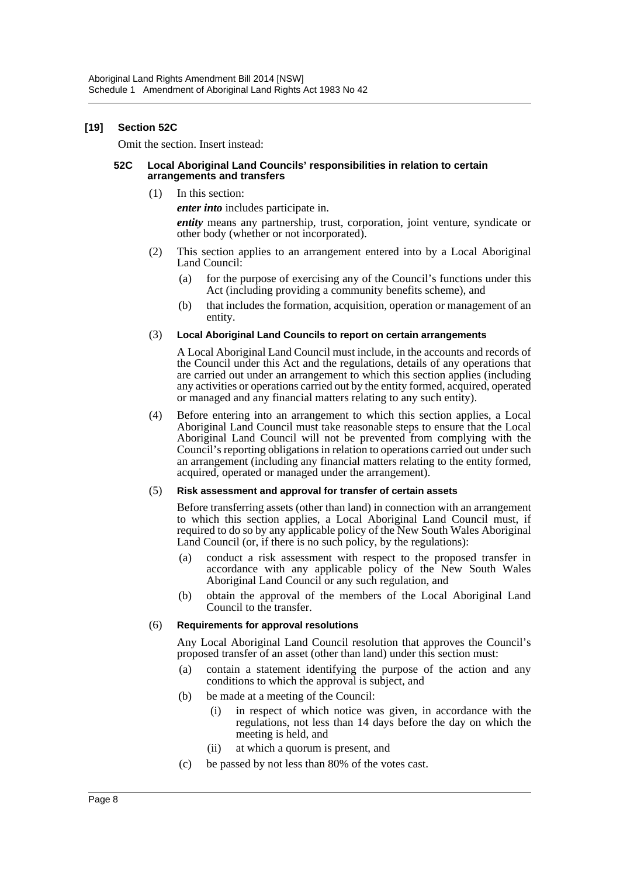#### **[19] Section 52C**

Omit the section. Insert instead:

#### **52C Local Aboriginal Land Councils' responsibilities in relation to certain arrangements and transfers**

(1) In this section:

*enter into* includes participate in.

*entity* means any partnership, trust, corporation, joint venture, syndicate or other body (whether or not incorporated).

- (2) This section applies to an arrangement entered into by a Local Aboriginal Land Council:
	- (a) for the purpose of exercising any of the Council's functions under this Act (including providing a community benefits scheme), and
	- (b) that includes the formation, acquisition, operation or management of an entity.

#### (3) **Local Aboriginal Land Councils to report on certain arrangements**

A Local Aboriginal Land Council must include, in the accounts and records of the Council under this Act and the regulations, details of any operations that are carried out under an arrangement to which this section applies (including any activities or operations carried out by the entity formed, acquired, operated or managed and any financial matters relating to any such entity).

(4) Before entering into an arrangement to which this section applies, a Local Aboriginal Land Council must take reasonable steps to ensure that the Local Aboriginal Land Council will not be prevented from complying with the Council's reporting obligations in relation to operations carried out under such an arrangement (including any financial matters relating to the entity formed, acquired, operated or managed under the arrangement).

#### (5) **Risk assessment and approval for transfer of certain assets**

Before transferring assets (other than land) in connection with an arrangement to which this section applies, a Local Aboriginal Land Council must, if required to do so by any applicable policy of the New South Wales Aboriginal Land Council (or, if there is no such policy, by the regulations):

- (a) conduct a risk assessment with respect to the proposed transfer in accordance with any applicable policy of the New South Wales Aboriginal Land Council or any such regulation, and
- (b) obtain the approval of the members of the Local Aboriginal Land Council to the transfer.

#### (6) **Requirements for approval resolutions**

Any Local Aboriginal Land Council resolution that approves the Council's proposed transfer of an asset (other than land) under this section must:

- (a) contain a statement identifying the purpose of the action and any conditions to which the approval is subject, and
- (b) be made at a meeting of the Council:
	- (i) in respect of which notice was given, in accordance with the regulations, not less than 14 days before the day on which the meeting is held, and
	- (ii) at which a quorum is present, and
- (c) be passed by not less than 80% of the votes cast.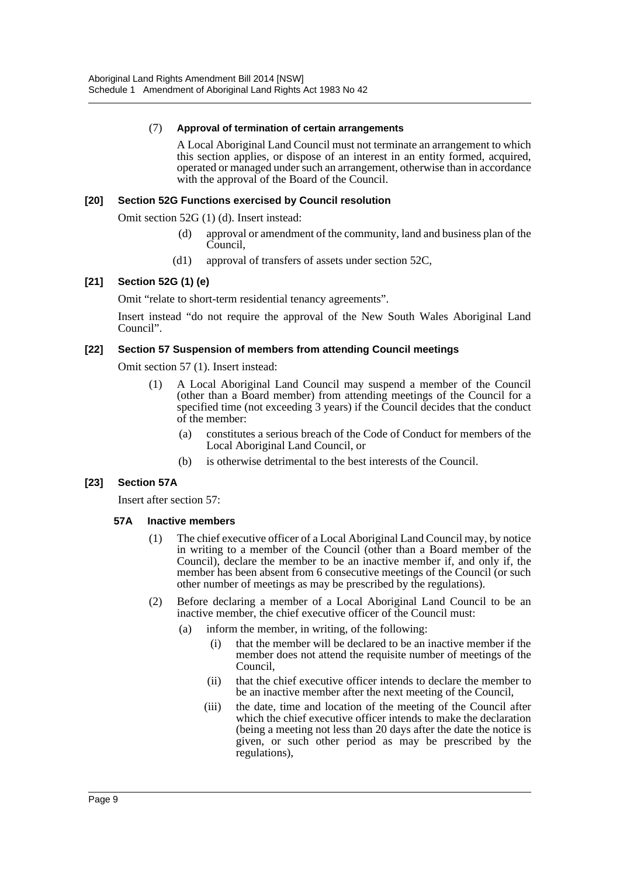#### (7) **Approval of termination of certain arrangements**

A Local Aboriginal Land Council must not terminate an arrangement to which this section applies, or dispose of an interest in an entity formed, acquired, operated or managed under such an arrangement, otherwise than in accordance with the approval of the Board of the Council.

#### **[20] Section 52G Functions exercised by Council resolution**

Omit section 52G (1) (d). Insert instead:

- (d) approval or amendment of the community, land and business plan of the Council,
- (d1) approval of transfers of assets under section 52C,

## **[21] Section 52G (1) (e)**

Omit "relate to short-term residential tenancy agreements".

Insert instead "do not require the approval of the New South Wales Aboriginal Land Council".

#### **[22] Section 57 Suspension of members from attending Council meetings**

Omit section 57 (1). Insert instead:

- (1) A Local Aboriginal Land Council may suspend a member of the Council (other than a Board member) from attending meetings of the Council for a specified time (not exceeding 3 years) if the Council decides that the conduct of the member:
	- (a) constitutes a serious breach of the Code of Conduct for members of the Local Aboriginal Land Council, or
	- (b) is otherwise detrimental to the best interests of the Council.

#### **[23] Section 57A**

Insert after section 57:

#### **57A Inactive members**

- (1) The chief executive officer of a Local Aboriginal Land Council may, by notice in writing to a member of the Council (other than a Board member of the Council), declare the member to be an inactive member if, and only if, the member has been absent from 6 consecutive meetings of the Council (or such other number of meetings as may be prescribed by the regulations).
- (2) Before declaring a member of a Local Aboriginal Land Council to be an inactive member, the chief executive officer of the Council must:
	- (a) inform the member, in writing, of the following:
		- (i) that the member will be declared to be an inactive member if the member does not attend the requisite number of meetings of the Council,
		- (ii) that the chief executive officer intends to declare the member to be an inactive member after the next meeting of the Council,
		- (iii) the date, time and location of the meeting of the Council after which the chief executive officer intends to make the declaration (being a meeting not less than 20 days after the date the notice is given, or such other period as may be prescribed by the regulations),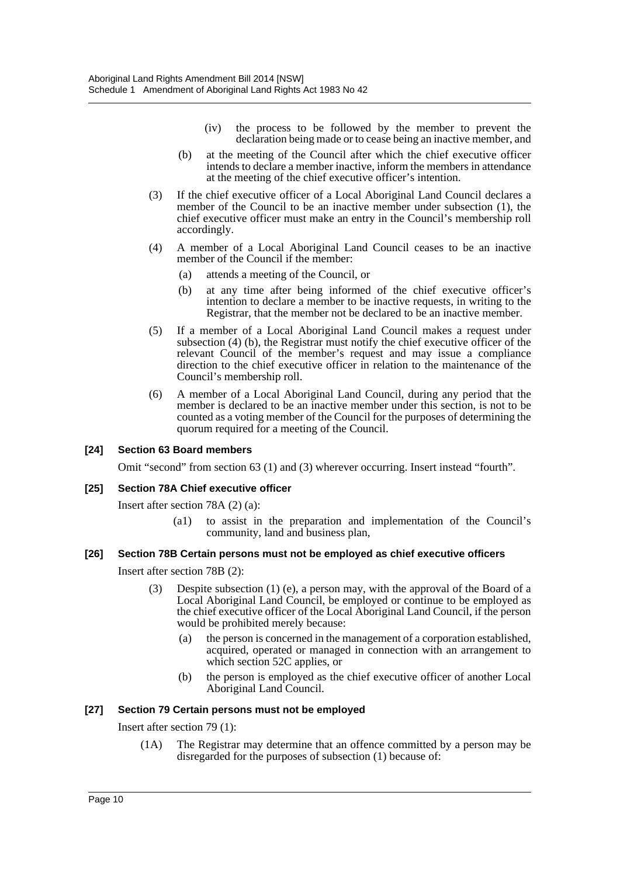- (iv) the process to be followed by the member to prevent the declaration being made or to cease being an inactive member, and
- (b) at the meeting of the Council after which the chief executive officer intends to declare a member inactive, inform the members in attendance at the meeting of the chief executive officer's intention.
- (3) If the chief executive officer of a Local Aboriginal Land Council declares a member of the Council to be an inactive member under subsection (1), the chief executive officer must make an entry in the Council's membership roll accordingly.
- (4) A member of a Local Aboriginal Land Council ceases to be an inactive member of the Council if the member:
	- (a) attends a meeting of the Council, or
	- (b) at any time after being informed of the chief executive officer's intention to declare a member to be inactive requests, in writing to the Registrar, that the member not be declared to be an inactive member.
- (5) If a member of a Local Aboriginal Land Council makes a request under subsection (4) (b), the Registrar must notify the chief executive officer of the relevant Council of the member's request and may issue a compliance direction to the chief executive officer in relation to the maintenance of the Council's membership roll.
- (6) A member of a Local Aboriginal Land Council, during any period that the member is declared to be an inactive member under this section, is not to be counted as a voting member of the Council for the purposes of determining the quorum required for a meeting of the Council.

#### **[24] Section 63 Board members**

Omit "second" from section 63 (1) and (3) wherever occurring. Insert instead "fourth".

#### **[25] Section 78A Chief executive officer**

Insert after section 78A (2) (a):

(a1) to assist in the preparation and implementation of the Council's community, land and business plan,

#### **[26] Section 78B Certain persons must not be employed as chief executive officers**

Insert after section 78B (2):

- (3) Despite subsection (1) (e), a person may, with the approval of the Board of a Local Aboriginal Land Council, be employed or continue to be employed as the chief executive officer of the Local Aboriginal Land Council, if the person would be prohibited merely because:
	- (a) the person is concerned in the management of a corporation established, acquired, operated or managed in connection with an arrangement to which section 52C applies, or
	- (b) the person is employed as the chief executive officer of another Local Aboriginal Land Council.

#### **[27] Section 79 Certain persons must not be employed**

Insert after section 79 (1):

(1A) The Registrar may determine that an offence committed by a person may be disregarded for the purposes of subsection (1) because of: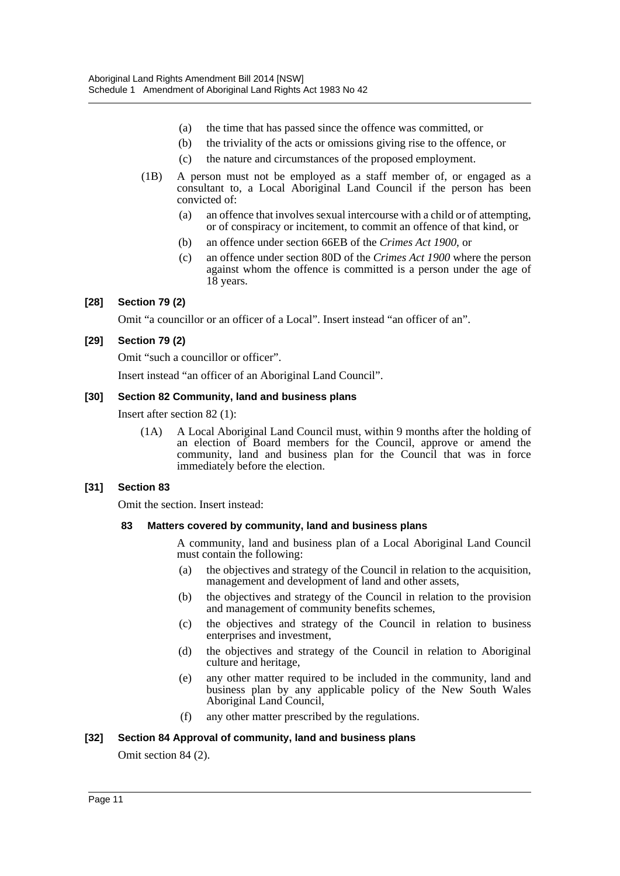- (a) the time that has passed since the offence was committed, or
- (b) the triviality of the acts or omissions giving rise to the offence, or
- (c) the nature and circumstances of the proposed employment.
- (1B) A person must not be employed as a staff member of, or engaged as a consultant to, a Local Aboriginal Land Council if the person has been convicted of:
	- (a) an offence that involves sexual intercourse with a child or of attempting, or of conspiracy or incitement, to commit an offence of that kind, or
	- (b) an offence under section 66EB of the *Crimes Act 1900*, or
	- (c) an offence under section 80D of the *Crimes Act 1900* where the person against whom the offence is committed is a person under the age of 18 years.

#### **[28] Section 79 (2)**

Omit "a councillor or an officer of a Local". Insert instead "an officer of an".

#### **[29] Section 79 (2)**

Omit "such a councillor or officer".

Insert instead "an officer of an Aboriginal Land Council".

#### **[30] Section 82 Community, land and business plans**

Insert after section 82 (1):

(1A) A Local Aboriginal Land Council must, within 9 months after the holding of an election of Board members for the Council, approve or amend the community, land and business plan for the Council that was in force immediately before the election.

## **[31] Section 83**

Omit the section. Insert instead:

#### **83 Matters covered by community, land and business plans**

A community, land and business plan of a Local Aboriginal Land Council must contain the following:

- (a) the objectives and strategy of the Council in relation to the acquisition, management and development of land and other assets,
- (b) the objectives and strategy of the Council in relation to the provision and management of community benefits schemes,
- (c) the objectives and strategy of the Council in relation to business enterprises and investment,
- (d) the objectives and strategy of the Council in relation to Aboriginal culture and heritage,
- (e) any other matter required to be included in the community, land and business plan by any applicable policy of the New South Wales Aboriginal Land Council,
- (f) any other matter prescribed by the regulations.

#### **[32] Section 84 Approval of community, land and business plans**

Omit section 84 (2).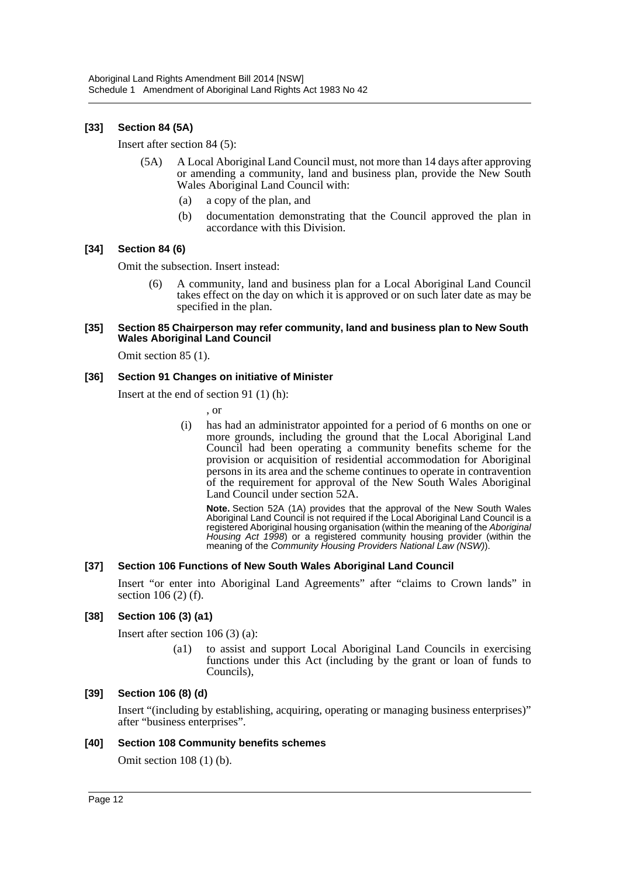## **[33] Section 84 (5A)**

Insert after section 84 (5):

- (5A) A Local Aboriginal Land Council must, not more than 14 days after approving or amending a community, land and business plan, provide the New South Wales Aboriginal Land Council with:
	- (a) a copy of the plan, and
	- (b) documentation demonstrating that the Council approved the plan in accordance with this Division.

#### **[34] Section 84 (6)**

Omit the subsection. Insert instead:

(6) A community, land and business plan for a Local Aboriginal Land Council takes effect on the day on which it is approved or on such later date as may be specified in the plan.

#### **[35] Section 85 Chairperson may refer community, land and business plan to New South Wales Aboriginal Land Council**

Omit section 85 (1).

#### **[36] Section 91 Changes on initiative of Minister**

Insert at the end of section 91 (1) (h):

, or

(i) has had an administrator appointed for a period of 6 months on one or more grounds, including the ground that the Local Aboriginal Land Council had been operating a community benefits scheme for the provision or acquisition of residential accommodation for Aboriginal persons in its area and the scheme continues to operate in contravention of the requirement for approval of the New South Wales Aboriginal Land Council under section 52A.

**Note.** Section 52A (1A) provides that the approval of the New South Wales Aboriginal Land Council is not required if the Local Aboriginal Land Council is a registered Aboriginal housing organisation (within the meaning of the *Aboriginal Housing Act 1998*) or a registered community housing provider (within the meaning of the *Community Housing Providers National Law (NSW)*).

#### **[37] Section 106 Functions of New South Wales Aboriginal Land Council**

Insert "or enter into Aboriginal Land Agreements" after "claims to Crown lands" in section 106 (2) (f).

#### **[38] Section 106 (3) (a1)**

Insert after section 106 (3) (a):

(a1) to assist and support Local Aboriginal Land Councils in exercising functions under this Act (including by the grant or loan of funds to Councils),

#### **[39] Section 106 (8) (d)**

Insert "(including by establishing, acquiring, operating or managing business enterprises)" after "business enterprises".

#### **[40] Section 108 Community benefits schemes**

Omit section 108 (1) (b).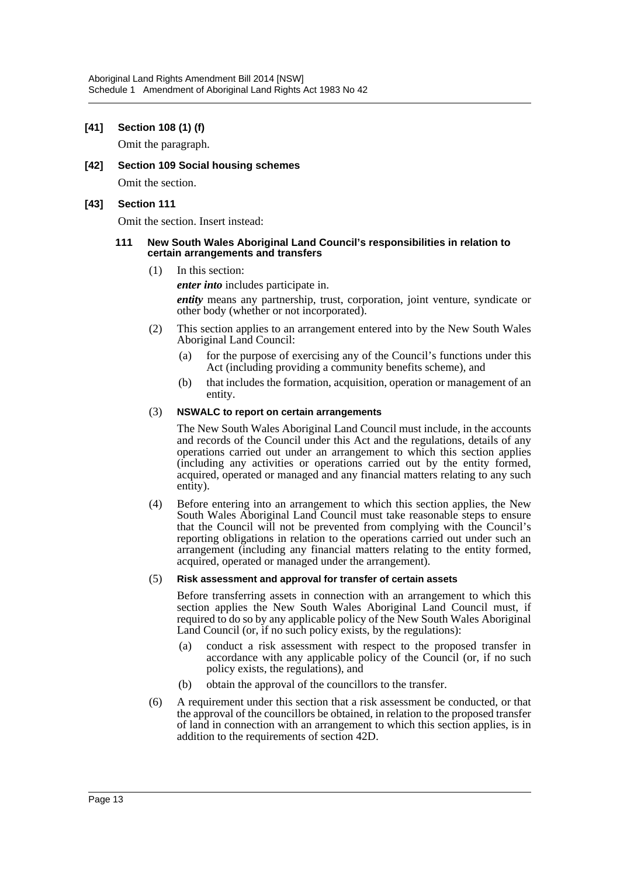#### **[41] Section 108 (1) (f)**

Omit the paragraph.

**[42] Section 109 Social housing schemes** Omit the section.

#### **[43] Section 111**

Omit the section. Insert instead:

#### **111 New South Wales Aboriginal Land Council's responsibilities in relation to certain arrangements and transfers**

(1) In this section:

*enter into* includes participate in.

*entity* means any partnership, trust, corporation, joint venture, syndicate or other body (whether or not incorporated).

- (2) This section applies to an arrangement entered into by the New South Wales Aboriginal Land Council:
	- (a) for the purpose of exercising any of the Council's functions under this Act (including providing a community benefits scheme), and
	- (b) that includes the formation, acquisition, operation or management of an entity.

#### (3) **NSWALC to report on certain arrangements**

The New South Wales Aboriginal Land Council must include, in the accounts and records of the Council under this Act and the regulations, details of any operations carried out under an arrangement to which this section applies (including any activities or operations carried out by the entity formed, acquired, operated or managed and any financial matters relating to any such entity).

(4) Before entering into an arrangement to which this section applies, the New South Wales Aboriginal Land Council must take reasonable steps to ensure that the Council will not be prevented from complying with the Council's reporting obligations in relation to the operations carried out under such an arrangement (including any financial matters relating to the entity formed, acquired, operated or managed under the arrangement).

#### (5) **Risk assessment and approval for transfer of certain assets**

Before transferring assets in connection with an arrangement to which this section applies the New South Wales Aboriginal Land Council must, if required to do so by any applicable policy of the New South Wales Aboriginal Land Council (or, if no such policy exists, by the regulations):

- (a) conduct a risk assessment with respect to the proposed transfer in accordance with any applicable policy of the Council (or, if no such policy exists, the regulations), and
- (b) obtain the approval of the councillors to the transfer.
- (6) A requirement under this section that a risk assessment be conducted, or that the approval of the councillors be obtained, in relation to the proposed transfer of land in connection with an arrangement to which this section applies, is in addition to the requirements of section 42D.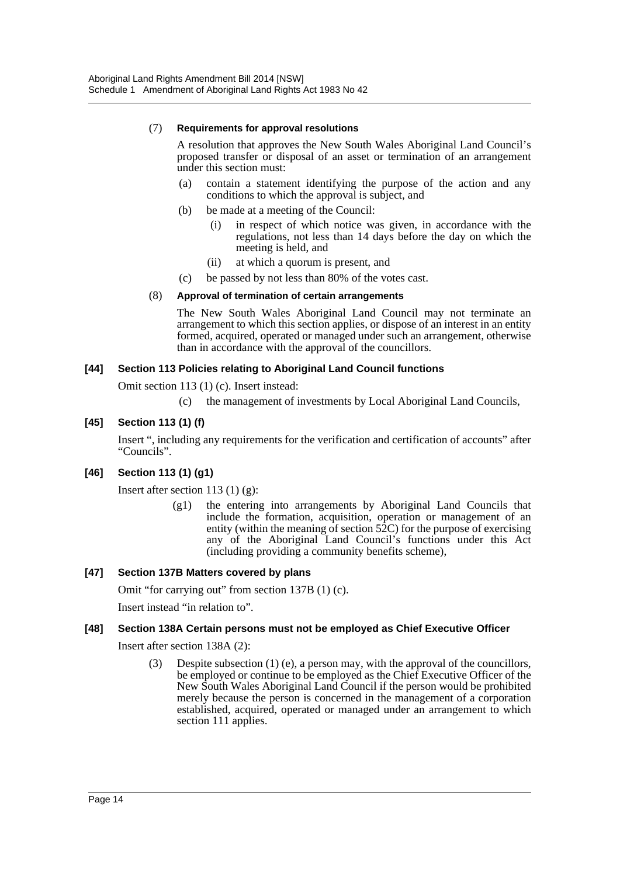#### (7) **Requirements for approval resolutions**

A resolution that approves the New South Wales Aboriginal Land Council's proposed transfer or disposal of an asset or termination of an arrangement under this section must:

- (a) contain a statement identifying the purpose of the action and any conditions to which the approval is subject, and
- (b) be made at a meeting of the Council:
	- (i) in respect of which notice was given, in accordance with the regulations, not less than 14 days before the day on which the meeting is held, and
	- (ii) at which a quorum is present, and
- (c) be passed by not less than 80% of the votes cast.

#### (8) **Approval of termination of certain arrangements**

The New South Wales Aboriginal Land Council may not terminate an arrangement to which this section applies, or dispose of an interest in an entity formed, acquired, operated or managed under such an arrangement, otherwise than in accordance with the approval of the councillors.

#### **[44] Section 113 Policies relating to Aboriginal Land Council functions**

Omit section 113 (1) (c). Insert instead:

(c) the management of investments by Local Aboriginal Land Councils,

## **[45] Section 113 (1) (f)**

Insert ", including any requirements for the verification and certification of accounts" after "Councils".

## **[46] Section 113 (1) (g1)**

Insert after section 113  $(1)$   $(g)$ :

(g1) the entering into arrangements by Aboriginal Land Councils that include the formation, acquisition, operation or management of an entity (within the meaning of section  $52C$ ) for the purpose of exercising any of the Aboriginal Land Council's functions under this Act (including providing a community benefits scheme),

## **[47] Section 137B Matters covered by plans**

Omit "for carrying out" from section 137B (1) (c).

Insert instead "in relation to".

## **[48] Section 138A Certain persons must not be employed as Chief Executive Officer**

Insert after section 138A (2):

(3) Despite subsection (1) (e), a person may, with the approval of the councillors, be employed or continue to be employed as the Chief Executive Officer of the New South Wales Aboriginal Land Council if the person would be prohibited merely because the person is concerned in the management of a corporation established, acquired, operated or managed under an arrangement to which section 111 applies.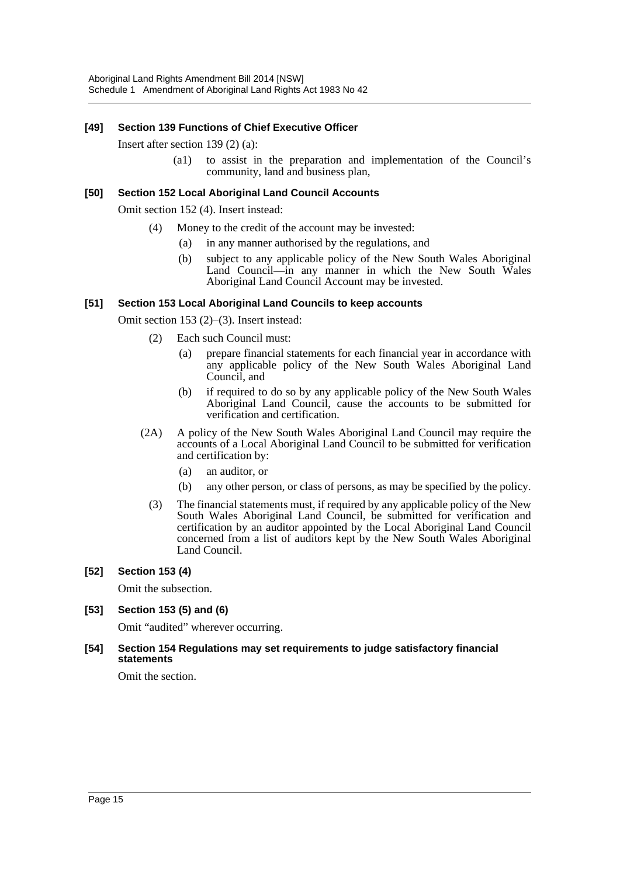## **[49] Section 139 Functions of Chief Executive Officer**

Insert after section 139 (2) (a):

(a1) to assist in the preparation and implementation of the Council's community, land and business plan,

#### **[50] Section 152 Local Aboriginal Land Council Accounts**

Omit section 152 (4). Insert instead:

- (4) Money to the credit of the account may be invested:
	- (a) in any manner authorised by the regulations, and
		- (b) subject to any applicable policy of the New South Wales Aboriginal Land Council—in any manner in which the New South Wales Aboriginal Land Council Account may be invested.

#### **[51] Section 153 Local Aboriginal Land Councils to keep accounts**

Omit section 153 (2)–(3). Insert instead:

- (2) Each such Council must:
	- (a) prepare financial statements for each financial year in accordance with any applicable policy of the New South Wales Aboriginal Land Council, and
	- (b) if required to do so by any applicable policy of the New South Wales Aboriginal Land Council, cause the accounts to be submitted for verification and certification.
- (2A) A policy of the New South Wales Aboriginal Land Council may require the accounts of a Local Aboriginal Land Council to be submitted for verification and certification by:
	- (a) an auditor, or
	- (b) any other person, or class of persons, as may be specified by the policy.
- (3) The financial statements must, if required by any applicable policy of the New South Wales Aboriginal Land Council, be submitted for verification and certification by an auditor appointed by the Local Aboriginal Land Council concerned from a list of auditors kept by the New South Wales Aboriginal Land Council.

#### **[52] Section 153 (4)**

Omit the subsection.

#### **[53] Section 153 (5) and (6)**

Omit "audited" wherever occurring.

#### **[54] Section 154 Regulations may set requirements to judge satisfactory financial statements**

Omit the section.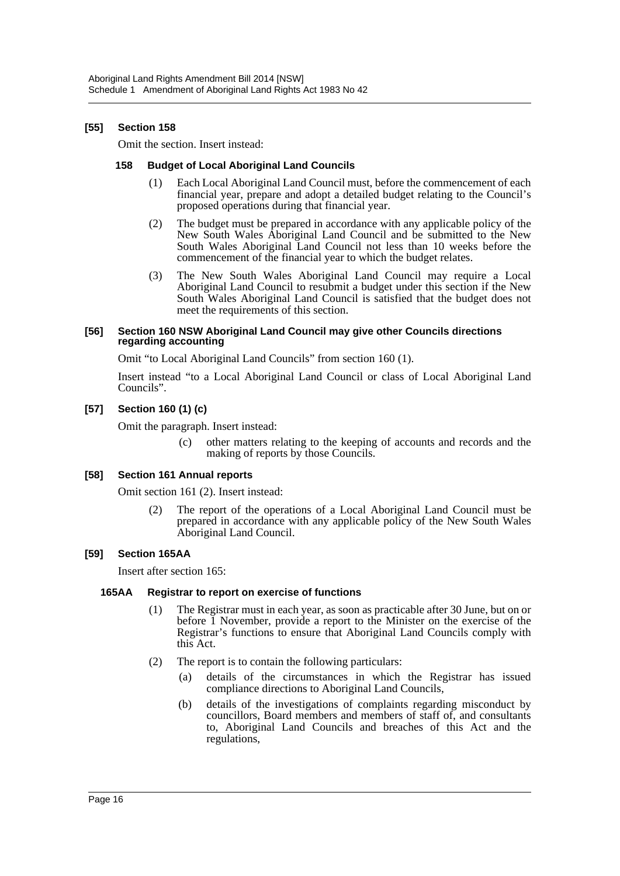#### **[55] Section 158**

Omit the section. Insert instead:

#### **158 Budget of Local Aboriginal Land Councils**

- (1) Each Local Aboriginal Land Council must, before the commencement of each financial year, prepare and adopt a detailed budget relating to the Council's proposed operations during that financial year.
- (2) The budget must be prepared in accordance with any applicable policy of the New South Wales Aboriginal Land Council and be submitted to the New South Wales Aboriginal Land Council not less than 10 weeks before the commencement of the financial year to which the budget relates.
- (3) The New South Wales Aboriginal Land Council may require a Local Aboriginal Land Council to resubmit a budget under this section if the New South Wales Aboriginal Land Council is satisfied that the budget does not meet the requirements of this section.

#### **[56] Section 160 NSW Aboriginal Land Council may give other Councils directions regarding accounting**

Omit "to Local Aboriginal Land Councils" from section 160 (1).

Insert instead "to a Local Aboriginal Land Council or class of Local Aboriginal Land Councils".

#### **[57] Section 160 (1) (c)**

Omit the paragraph. Insert instead:

(c) other matters relating to the keeping of accounts and records and the making of reports by those Councils.

#### **[58] Section 161 Annual reports**

Omit section 161 (2). Insert instead:

(2) The report of the operations of a Local Aboriginal Land Council must be prepared in accordance with any applicable policy of the New South Wales Aboriginal Land Council.

#### **[59] Section 165AA**

Insert after section 165:

#### **165AA Registrar to report on exercise of functions**

- (1) The Registrar must in each year, as soon as practicable after 30 June, but on or before 1 November, provide a report to the Minister on the exercise of the Registrar's functions to ensure that Aboriginal Land Councils comply with this Act.
- (2) The report is to contain the following particulars:
	- (a) details of the circumstances in which the Registrar has issued compliance directions to Aboriginal Land Councils,
	- (b) details of the investigations of complaints regarding misconduct by councillors, Board members and members of staff of, and consultants to, Aboriginal Land Councils and breaches of this Act and the regulations,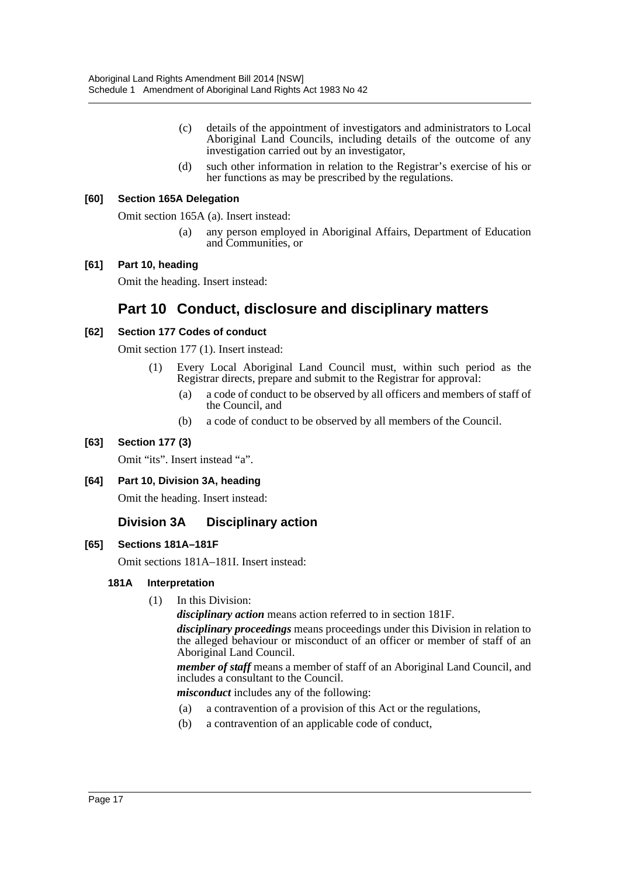- (c) details of the appointment of investigators and administrators to Local Aboriginal Land Councils, including details of the outcome of any investigation carried out by an investigator,
- (d) such other information in relation to the Registrar's exercise of his or her functions as may be prescribed by the regulations.

## **[60] Section 165A Delegation**

Omit section 165A (a). Insert instead:

(a) any person employed in Aboriginal Affairs, Department of Education and Communities, or

#### **[61] Part 10, heading**

Omit the heading. Insert instead:

# **Part 10 Conduct, disclosure and disciplinary matters**

#### **[62] Section 177 Codes of conduct**

Omit section 177 (1). Insert instead:

- (1) Every Local Aboriginal Land Council must, within such period as the Registrar directs, prepare and submit to the Registrar for approval:
	- (a) a code of conduct to be observed by all officers and members of staff of the Council, and
	- (b) a code of conduct to be observed by all members of the Council.

## **[63] Section 177 (3)**

Omit "its". Insert instead "a".

#### **[64] Part 10, Division 3A, heading**

Omit the heading. Insert instead:

## **Division 3A Disciplinary action**

#### **[65] Sections 181A–181F**

Omit sections 181A–181I. Insert instead:

#### **181A Interpretation**

(1) In this Division:

*disciplinary action* means action referred to in section 181F.

*disciplinary proceedings* means proceedings under this Division in relation to the alleged behaviour or misconduct of an officer or member of staff of an Aboriginal Land Council.

*member of staff* means a member of staff of an Aboriginal Land Council, and includes a consultant to the Council.

*misconduct* includes any of the following:

- (a) a contravention of a provision of this Act or the regulations,
- (b) a contravention of an applicable code of conduct,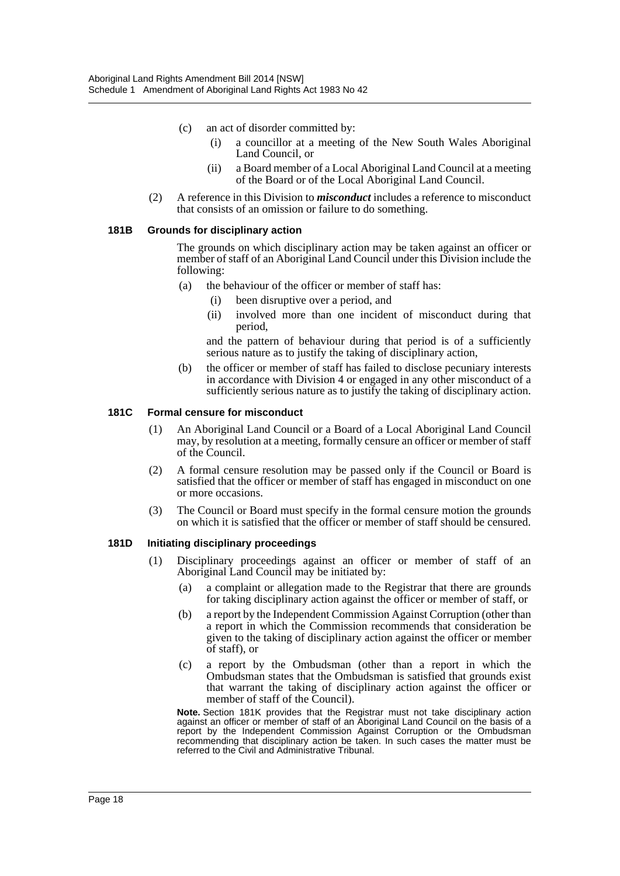- (c) an act of disorder committed by:
	- (i) a councillor at a meeting of the New South Wales Aboriginal Land Council, or
	- (ii) a Board member of a Local Aboriginal Land Council at a meeting of the Board or of the Local Aboriginal Land Council.
- (2) A reference in this Division to *misconduct* includes a reference to misconduct that consists of an omission or failure to do something.

#### **181B Grounds for disciplinary action**

The grounds on which disciplinary action may be taken against an officer or member of staff of an Aboriginal Land Council under this Division include the following:

- (a) the behaviour of the officer or member of staff has:
	- (i) been disruptive over a period, and
	- (ii) involved more than one incident of misconduct during that period,

and the pattern of behaviour during that period is of a sufficiently serious nature as to justify the taking of disciplinary action,

(b) the officer or member of staff has failed to disclose pecuniary interests in accordance with Division 4 or engaged in any other misconduct of a sufficiently serious nature as to justify the taking of disciplinary action.

#### **181C Formal censure for misconduct**

- (1) An Aboriginal Land Council or a Board of a Local Aboriginal Land Council may, by resolution at a meeting, formally censure an officer or member of staff of the Council.
- (2) A formal censure resolution may be passed only if the Council or Board is satisfied that the officer or member of staff has engaged in misconduct on one or more occasions.
- (3) The Council or Board must specify in the formal censure motion the grounds on which it is satisfied that the officer or member of staff should be censured.

#### **181D Initiating disciplinary proceedings**

- (1) Disciplinary proceedings against an officer or member of staff of an Aboriginal Land Council may be initiated by:
	- (a) a complaint or allegation made to the Registrar that there are grounds for taking disciplinary action against the officer or member of staff, or
	- (b) a report by the Independent Commission Against Corruption (other than a report in which the Commission recommends that consideration be given to the taking of disciplinary action against the officer or member of staff), or
	- (c) a report by the Ombudsman (other than a report in which the Ombudsman states that the Ombudsman is satisfied that grounds exist that warrant the taking of disciplinary action against the officer or member of staff of the Council).

**Note.** Section 181K provides that the Registrar must not take disciplinary action against an officer or member of staff of an Aboriginal Land Council on the basis of a report by the Independent Commission Against Corruption or the Ombudsman recommending that disciplinary action be taken. In such cases the matter must be referred to the Civil and Administrative Tribunal.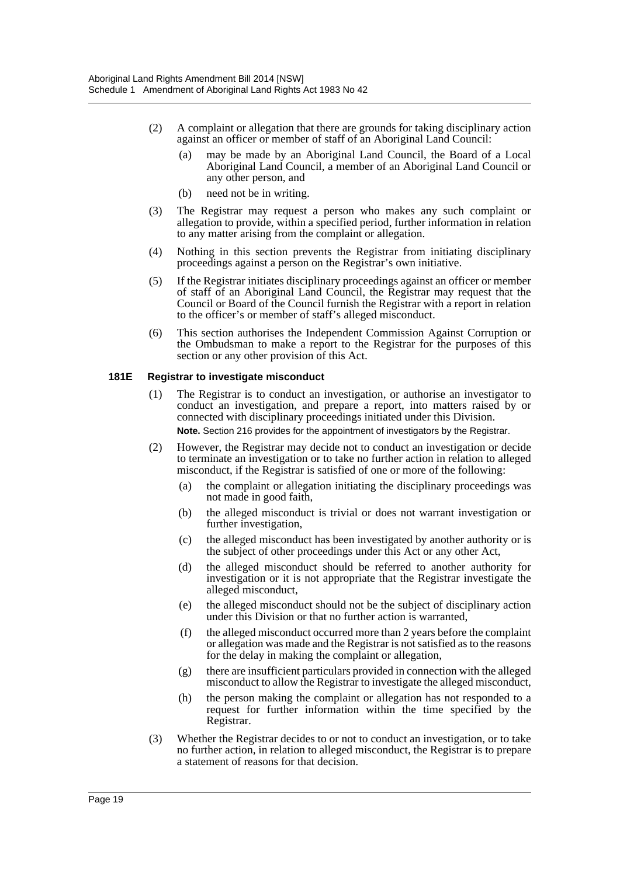- (2) A complaint or allegation that there are grounds for taking disciplinary action against an officer or member of staff of an Aboriginal Land Council:
	- (a) may be made by an Aboriginal Land Council, the Board of a Local Aboriginal Land Council, a member of an Aboriginal Land Council or any other person, and
	- (b) need not be in writing.
- (3) The Registrar may request a person who makes any such complaint or allegation to provide, within a specified period, further information in relation to any matter arising from the complaint or allegation.
- (4) Nothing in this section prevents the Registrar from initiating disciplinary proceedings against a person on the Registrar's own initiative.
- (5) If the Registrar initiates disciplinary proceedings against an officer or member of staff of an Aboriginal Land Council, the Registrar may request that the Council or Board of the Council furnish the Registrar with a report in relation to the officer's or member of staff's alleged misconduct.
- (6) This section authorises the Independent Commission Against Corruption or the Ombudsman to make a report to the Registrar for the purposes of this section or any other provision of this Act.

#### **181E Registrar to investigate misconduct**

- (1) The Registrar is to conduct an investigation, or authorise an investigator to conduct an investigation, and prepare a report, into matters raised by or connected with disciplinary proceedings initiated under this Division. **Note.** Section 216 provides for the appointment of investigators by the Registrar.
- (2) However, the Registrar may decide not to conduct an investigation or decide to terminate an investigation or to take no further action in relation to alleged misconduct, if the Registrar is satisfied of one or more of the following:
	- (a) the complaint or allegation initiating the disciplinary proceedings was not made in good faith,
	- (b) the alleged misconduct is trivial or does not warrant investigation or further investigation,
	- (c) the alleged misconduct has been investigated by another authority or is the subject of other proceedings under this Act or any other Act,
	- (d) the alleged misconduct should be referred to another authority for investigation or it is not appropriate that the Registrar investigate the alleged misconduct,
	- (e) the alleged misconduct should not be the subject of disciplinary action under this Division or that no further action is warranted,
	- (f) the alleged misconduct occurred more than 2 years before the complaint or allegation was made and the Registrar is not satisfied as to the reasons for the delay in making the complaint or allegation,
	- (g) there are insufficient particulars provided in connection with the alleged misconduct to allow the Registrar to investigate the alleged misconduct,
	- (h) the person making the complaint or allegation has not responded to a request for further information within the time specified by the Registrar.
- (3) Whether the Registrar decides to or not to conduct an investigation, or to take no further action, in relation to alleged misconduct, the Registrar is to prepare a statement of reasons for that decision.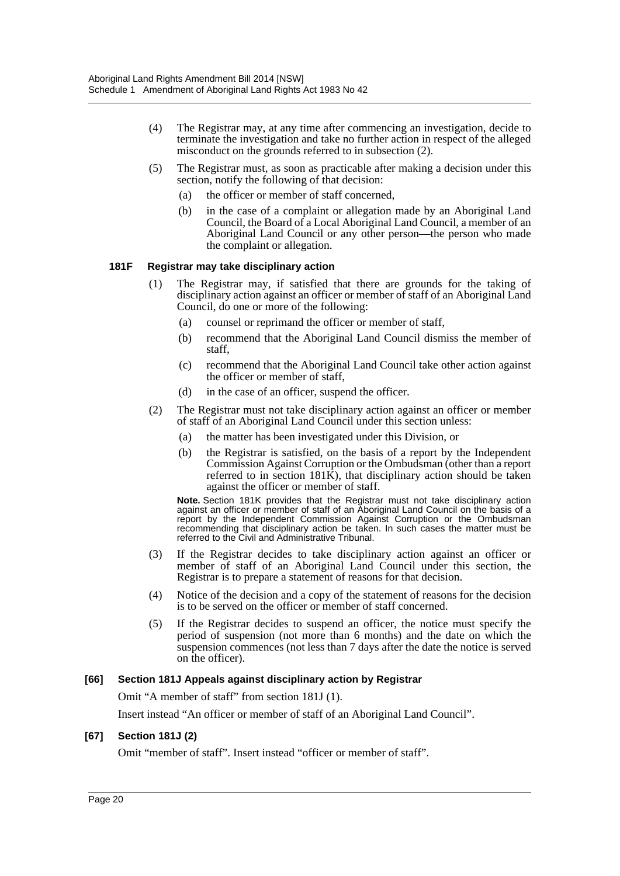- (4) The Registrar may, at any time after commencing an investigation, decide to terminate the investigation and take no further action in respect of the alleged misconduct on the grounds referred to in subsection (2).
- (5) The Registrar must, as soon as practicable after making a decision under this section, notify the following of that decision:
	- (a) the officer or member of staff concerned,
	- (b) in the case of a complaint or allegation made by an Aboriginal Land Council, the Board of a Local Aboriginal Land Council, a member of an Aboriginal Land Council or any other person—the person who made the complaint or allegation.

#### **181F Registrar may take disciplinary action**

- (1) The Registrar may, if satisfied that there are grounds for the taking of disciplinary action against an officer or member of staff of an Aboriginal Land Council, do one or more of the following:
	- (a) counsel or reprimand the officer or member of staff,
	- (b) recommend that the Aboriginal Land Council dismiss the member of staff,
	- (c) recommend that the Aboriginal Land Council take other action against the officer or member of staff,
	- (d) in the case of an officer, suspend the officer.
- (2) The Registrar must not take disciplinary action against an officer or member of staff of an Aboriginal Land Council under this section unless:
	- (a) the matter has been investigated under this Division, or
	- (b) the Registrar is satisfied, on the basis of a report by the Independent Commission Against Corruption or the Ombudsman (other than a report referred to in section 181K), that disciplinary action should be taken against the officer or member of staff.

**Note.** Section 181K provides that the Registrar must not take disciplinary action against an officer or member of staff of an Aboriginal Land Council on the basis of a report by the Independent Commission Against Corruption or the Ombudsman recommending that disciplinary action be taken. In such cases the matter must be referred to the Civil and Administrative Tribunal.

- (3) If the Registrar decides to take disciplinary action against an officer or member of staff of an Aboriginal Land Council under this section, the Registrar is to prepare a statement of reasons for that decision.
- (4) Notice of the decision and a copy of the statement of reasons for the decision is to be served on the officer or member of staff concerned.
- (5) If the Registrar decides to suspend an officer, the notice must specify the period of suspension (not more than 6 months) and the date on which the suspension commences (not less than 7 days after the date the notice is served on the officer).

#### **[66] Section 181J Appeals against disciplinary action by Registrar**

Omit "A member of staff" from section 181J (1).

Insert instead "An officer or member of staff of an Aboriginal Land Council".

#### **[67] Section 181J (2)**

Omit "member of staff". Insert instead "officer or member of staff".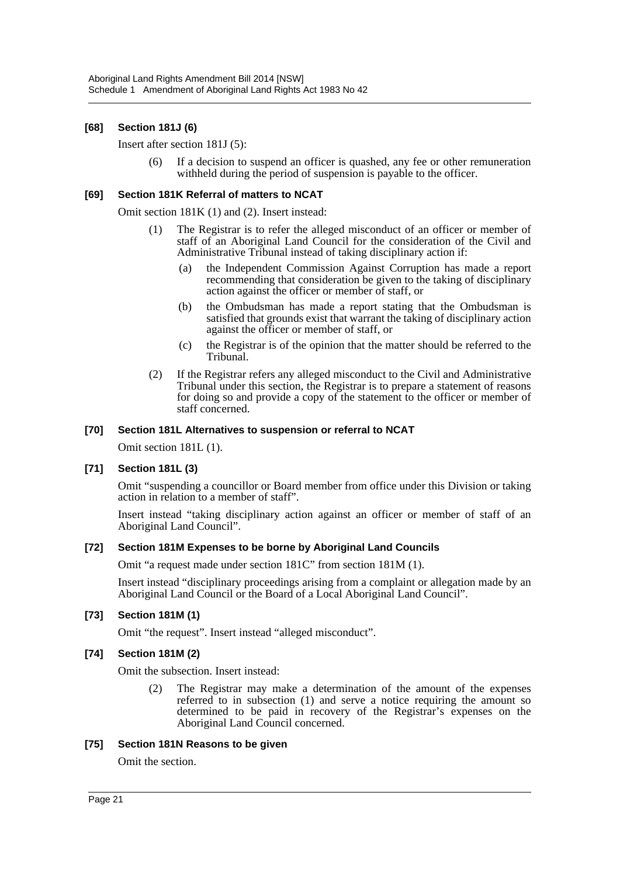#### **[68] Section 181J (6)**

#### Insert after section 181J (5):

(6) If a decision to suspend an officer is quashed, any fee or other remuneration withheld during the period of suspension is payable to the officer.

#### **[69] Section 181K Referral of matters to NCAT**

Omit section 181K (1) and (2). Insert instead:

- (1) The Registrar is to refer the alleged misconduct of an officer or member of staff of an Aboriginal Land Council for the consideration of the Civil and Administrative Tribunal instead of taking disciplinary action if:
	- (a) the Independent Commission Against Corruption has made a report recommending that consideration be given to the taking of disciplinary action against the officer or member of staff, or
	- (b) the Ombudsman has made a report stating that the Ombudsman is satisfied that grounds exist that warrant the taking of disciplinary action against the officer or member of staff, or
	- (c) the Registrar is of the opinion that the matter should be referred to the Tribunal.
- (2) If the Registrar refers any alleged misconduct to the Civil and Administrative Tribunal under this section, the Registrar is to prepare a statement of reasons for doing so and provide a copy of the statement to the officer or member of staff concerned.

#### **[70] Section 181L Alternatives to suspension or referral to NCAT**

Omit section 181L (1).

#### **[71] Section 181L (3)**

Omit "suspending a councillor or Board member from office under this Division or taking action in relation to a member of staff".

Insert instead "taking disciplinary action against an officer or member of staff of an Aboriginal Land Council".

#### **[72] Section 181M Expenses to be borne by Aboriginal Land Councils**

Omit "a request made under section 181C" from section 181M (1).

Insert instead "disciplinary proceedings arising from a complaint or allegation made by an Aboriginal Land Council or the Board of a Local Aboriginal Land Council".

#### **[73] Section 181M (1)**

Omit "the request". Insert instead "alleged misconduct".

#### **[74] Section 181M (2)**

Omit the subsection. Insert instead:

(2) The Registrar may make a determination of the amount of the expenses referred to in subsection (1) and serve a notice requiring the amount so determined to be paid in recovery of the Registrar's expenses on the Aboriginal Land Council concerned.

#### **[75] Section 181N Reasons to be given**

Omit the section.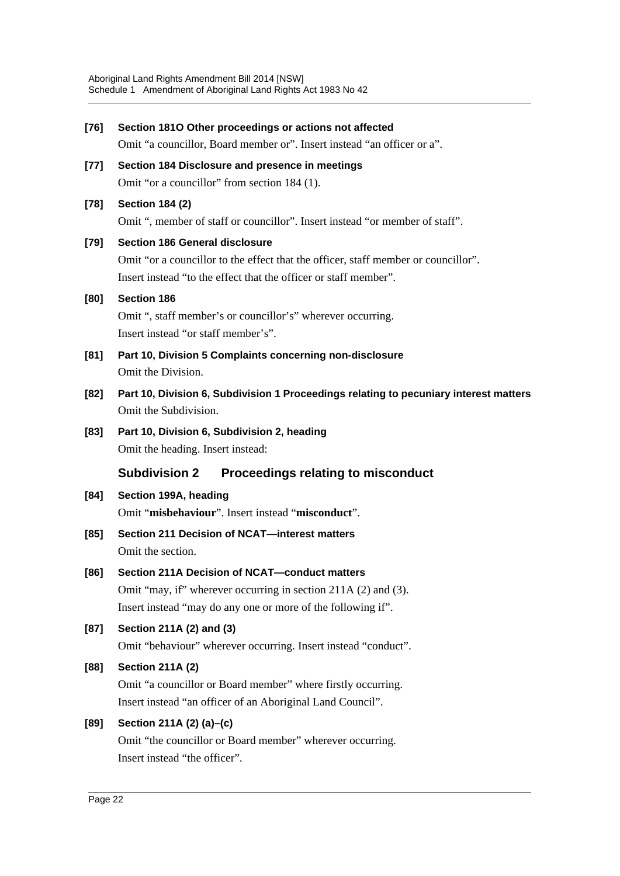| $[76]$ | Section 1810 Other proceedings or actions not affected                                |
|--------|---------------------------------------------------------------------------------------|
|        | Omit "a councillor, Board member or". Insert instead "an officer or a".               |
| $[77]$ | Section 184 Disclosure and presence in meetings                                       |
|        | Omit "or a councillor" from section 184 (1).                                          |
| $[78]$ | <b>Section 184 (2)</b>                                                                |
|        | Omit ", member of staff or councillor". Insert instead "or member of staff".          |
| [79]   | <b>Section 186 General disclosure</b>                                                 |
|        | Omit "or a councillor to the effect that the officer, staff member or councillor".    |
|        | Insert instead "to the effect that the officer or staff member".                      |
| [80]   | <b>Section 186</b>                                                                    |
|        | Omit ", staff member's or councillor's" wherever occurring.                           |
|        | Insert instead "or staff member's".                                                   |
| [81]   | Part 10, Division 5 Complaints concerning non-disclosure                              |
|        | Omit the Division.                                                                    |
| $[82]$ | Part 10, Division 6, Subdivision 1 Proceedings relating to pecuniary interest matters |
|        | Omit the Subdivision.                                                                 |
| $[83]$ | Part 10, Division 6, Subdivision 2, heading                                           |
|        | Omit the heading. Insert instead:                                                     |
|        | <b>Subdivision 2</b><br>Proceedings relating to misconduct                            |
| [84]   | Section 199A, heading                                                                 |
|        | Omit "misbehaviour". Insert instead "misconduct".                                     |
| $[85]$ | Section 211 Decision of NCAT-interest matters                                         |
|        | Omit the section.                                                                     |
| [86]   | Section 211A Decision of NCAT-conduct matters                                         |
|        | Omit "may, if" wherever occurring in section 211A (2) and (3).                        |
|        | Insert instead "may do any one or more of the following if".                          |
| $[87]$ | Section 211A (2) and (3)                                                              |
|        | Omit "behaviour" wherever occurring. Insert instead "conduct".                        |
| [88]   | <b>Section 211A (2)</b>                                                               |
|        | Omit "a councillor or Board member" where firstly occurring.                          |
|        | Insert instead "an officer of an Aboriginal Land Council".                            |
| [89]   | Section 211A (2) (a)-(c)                                                              |
|        | Omit "the councillor or Board member" wherever occurring.                             |
|        | Insert instead "the officer".                                                         |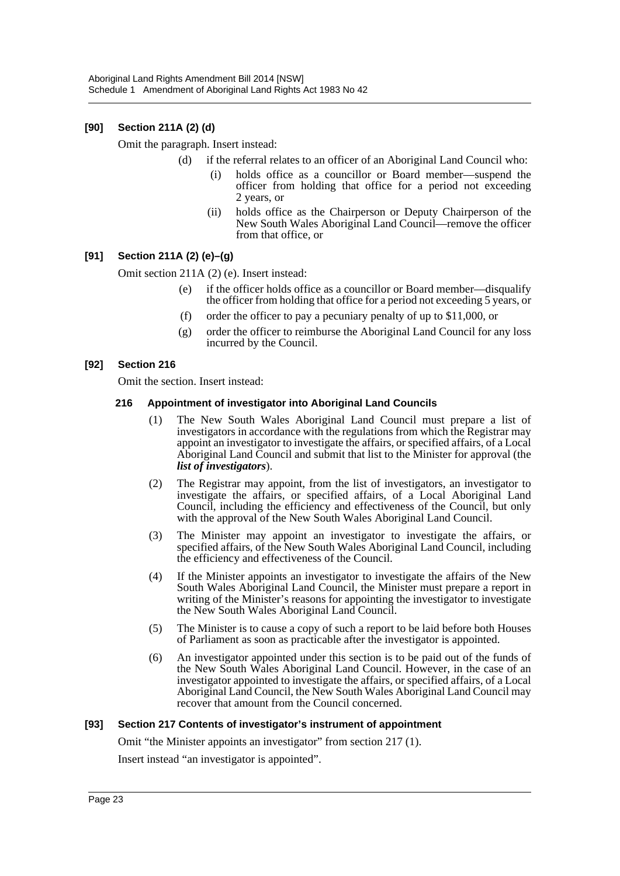## **[90] Section 211A (2) (d)**

Omit the paragraph. Insert instead:

- (d) if the referral relates to an officer of an Aboriginal Land Council who:
	- holds office as a councillor or Board member—suspend the officer from holding that office for a period not exceeding 2 years, or
	- (ii) holds office as the Chairperson or Deputy Chairperson of the New South Wales Aboriginal Land Council—remove the officer from that office, or

## **[91] Section 211A (2) (e)–(g)**

Omit section 211A (2) (e). Insert instead:

- (e) if the officer holds office as a councillor or Board member—disqualify the officer from holding that office for a period not exceeding 5 years, or
- (f) order the officer to pay a pecuniary penalty of up to \$11,000, or
- (g) order the officer to reimburse the Aboriginal Land Council for any loss incurred by the Council.

#### **[92] Section 216**

Omit the section. Insert instead:

#### **216 Appointment of investigator into Aboriginal Land Councils**

- (1) The New South Wales Aboriginal Land Council must prepare a list of investigators in accordance with the regulations from which the Registrar may appoint an investigator to investigate the affairs, or specified affairs, of a Local Aboriginal Land Council and submit that list to the Minister for approval (the *list of investigators*).
- (2) The Registrar may appoint, from the list of investigators, an investigator to investigate the affairs, or specified affairs, of a Local Aboriginal Land Council, including the efficiency and effectiveness of the Council, but only with the approval of the New South Wales Aboriginal Land Council.
- (3) The Minister may appoint an investigator to investigate the affairs, or specified affairs, of the New South Wales Aboriginal Land Council, including the efficiency and effectiveness of the Council.
- (4) If the Minister appoints an investigator to investigate the affairs of the New South Wales Aboriginal Land Council, the Minister must prepare a report in writing of the Minister's reasons for appointing the investigator to investigate the New South Wales Aboriginal Land Council.
- (5) The Minister is to cause a copy of such a report to be laid before both Houses of Parliament as soon as practicable after the investigator is appointed.
- (6) An investigator appointed under this section is to be paid out of the funds of the New South Wales Aboriginal Land Council. However, in the case of an investigator appointed to investigate the affairs, or specified affairs, of a Local Aboriginal Land Council, the New South Wales Aboriginal Land Council may recover that amount from the Council concerned.

#### **[93] Section 217 Contents of investigator's instrument of appointment**

Omit "the Minister appoints an investigator" from section 217 (1).

Insert instead "an investigator is appointed".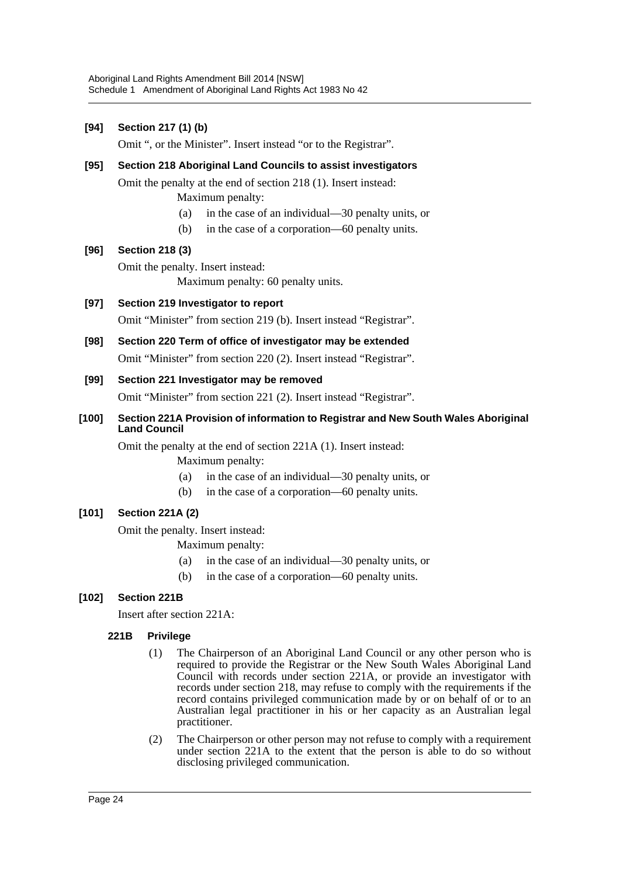## **[94] Section 217 (1) (b)**

Omit ", or the Minister". Insert instead "or to the Registrar".

## **[95] Section 218 Aboriginal Land Councils to assist investigators**

Omit the penalty at the end of section 218 (1). Insert instead:

- Maximum penalty:
- (a) in the case of an individual—30 penalty units, or
- (b) in the case of a corporation—60 penalty units.

#### **[96] Section 218 (3)**

Omit the penalty. Insert instead:

Maximum penalty: 60 penalty units.

## **[97] Section 219 Investigator to report**

Omit "Minister" from section 219 (b). Insert instead "Registrar".

## **[98] Section 220 Term of office of investigator may be extended**

Omit "Minister" from section 220 (2). Insert instead "Registrar".

#### **[99] Section 221 Investigator may be removed**

Omit "Minister" from section 221 (2). Insert instead "Registrar".

#### **[100] Section 221A Provision of information to Registrar and New South Wales Aboriginal Land Council**

Omit the penalty at the end of section 221A (1). Insert instead: Maximum penalty:

- (a) in the case of an individual—30 penalty units, or
- (b) in the case of a corporation—60 penalty units.

## **[101] Section 221A (2)**

Omit the penalty. Insert instead:

- Maximum penalty:
- (a) in the case of an individual—30 penalty units, or
- (b) in the case of a corporation—60 penalty units.

## **[102] Section 221B**

Insert after section 221A:

## **221B Privilege**

- (1) The Chairperson of an Aboriginal Land Council or any other person who is required to provide the Registrar or the New South Wales Aboriginal Land Council with records under section 221A, or provide an investigator with records under section 218, may refuse to comply with the requirements if the record contains privileged communication made by or on behalf of or to an Australian legal practitioner in his or her capacity as an Australian legal practitioner.
- (2) The Chairperson or other person may not refuse to comply with a requirement under section 221A to the extent that the person is able to do so without disclosing privileged communication.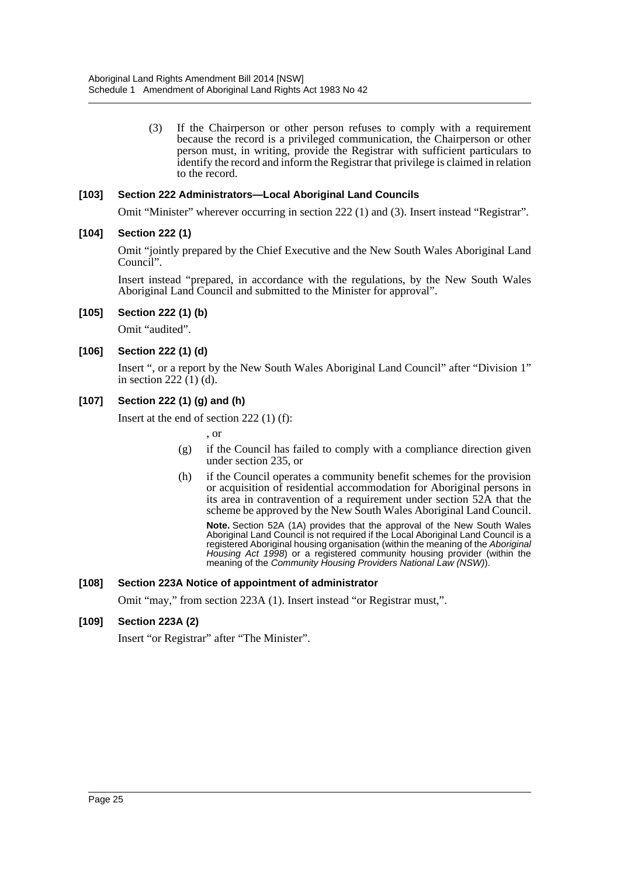(3) If the Chairperson or other person refuses to comply with a requirement because the record is a privileged communication, the Chairperson or other person must, in writing, provide the Registrar with sufficient particulars to identify the record and inform the Registrar that privilege is claimed in relation to the record.

#### **[103] Section 222 Administrators—Local Aboriginal Land Councils**

Omit "Minister" wherever occurring in section 222 (1) and (3). Insert instead "Registrar".

#### **[104] Section 222 (1)**

Omit "jointly prepared by the Chief Executive and the New South Wales Aboriginal Land Council".

Insert instead "prepared, in accordance with the regulations, by the New South Wales Aboriginal Land Council and submitted to the Minister for approval".

#### **[105] Section 222 (1) (b)**

Omit "audited".

#### **[106] Section 222 (1) (d)**

Insert ", or a report by the New South Wales Aboriginal Land Council" after "Division 1" in section 222 $(1)$  $(d)$ .

#### **[107] Section 222 (1) (g) and (h)**

Insert at the end of section 222 (1) (f):

- , or
- (g) if the Council has failed to comply with a compliance direction given under section 235, or
- (h) if the Council operates a community benefit schemes for the provision or acquisition of residential accommodation for Aboriginal persons in its area in contravention of a requirement under section 52A that the scheme be approved by the New South Wales Aboriginal Land Council.

**Note.** Section 52A (1A) provides that the approval of the New South Wales Aboriginal Land Council is not required if the Local Aboriginal Land Council is a registered Aboriginal housing organisation (within the meaning of the *Aboriginal Housing Act 1998*) or a registered community housing provider (within the meaning of the *Community Housing Providers National Law (NSW)*).

#### **[108] Section 223A Notice of appointment of administrator**

Omit "may," from section 223A (1). Insert instead "or Registrar must,".

#### **[109] Section 223A (2)**

Insert "or Registrar" after "The Minister".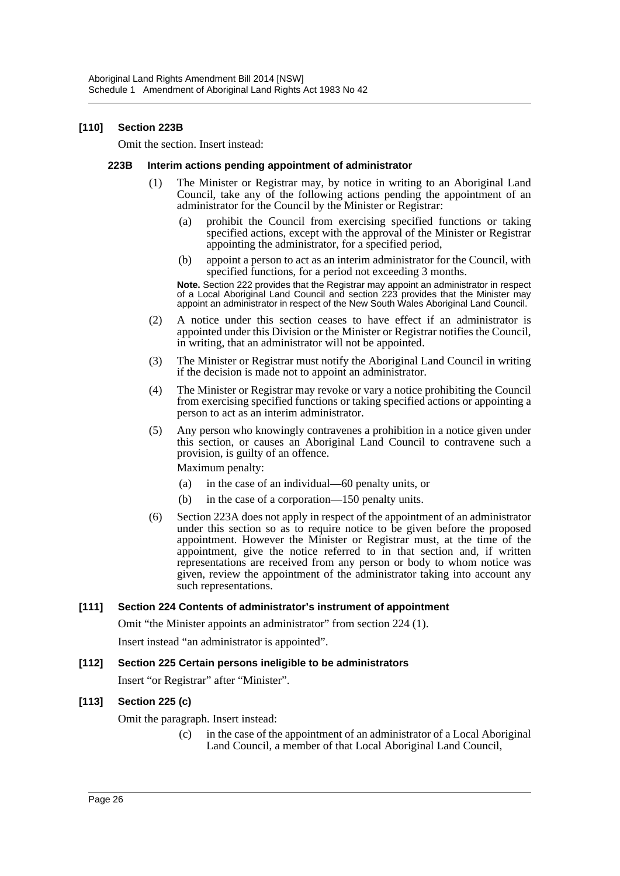#### **[110] Section 223B**

Omit the section. Insert instead:

#### **223B Interim actions pending appointment of administrator**

- (1) The Minister or Registrar may, by notice in writing to an Aboriginal Land Council, take any of the following actions pending the appointment of an administrator for the Council by the Minister or Registrar:
	- (a) prohibit the Council from exercising specified functions or taking specified actions, except with the approval of the Minister or Registrar appointing the administrator, for a specified period,
	- (b) appoint a person to act as an interim administrator for the Council, with specified functions, for a period not exceeding 3 months.

**Note.** Section 222 provides that the Registrar may appoint an administrator in respect of a Local Aboriginal Land Council and section 223 provides that the Minister may appoint an administrator in respect of the New South Wales Aboriginal Land Council.

- (2) A notice under this section ceases to have effect if an administrator is appointed under this Division or the Minister or Registrar notifies the Council, in writing, that an administrator will not be appointed.
- (3) The Minister or Registrar must notify the Aboriginal Land Council in writing if the decision is made not to appoint an administrator.
- (4) The Minister or Registrar may revoke or vary a notice prohibiting the Council from exercising specified functions or taking specified actions or appointing a person to act as an interim administrator.
- (5) Any person who knowingly contravenes a prohibition in a notice given under this section, or causes an Aboriginal Land Council to contravene such a provision, is guilty of an offence.

Maximum penalty:

- (a) in the case of an individual—60 penalty units, or
- (b) in the case of a corporation—150 penalty units.
- (6) Section 223A does not apply in respect of the appointment of an administrator under this section so as to require notice to be given before the proposed appointment. However the Minister or Registrar must, at the time of the appointment, give the notice referred to in that section and, if written representations are received from any person or body to whom notice was given, review the appointment of the administrator taking into account any such representations.

#### **[111] Section 224 Contents of administrator's instrument of appointment**

Omit "the Minister appoints an administrator" from section 224 (1).

Insert instead "an administrator is appointed".

**[112] Section 225 Certain persons ineligible to be administrators**

Insert "or Registrar" after "Minister".

## **[113] Section 225 (c)**

Omit the paragraph. Insert instead:

(c) in the case of the appointment of an administrator of a Local Aboriginal Land Council, a member of that Local Aboriginal Land Council,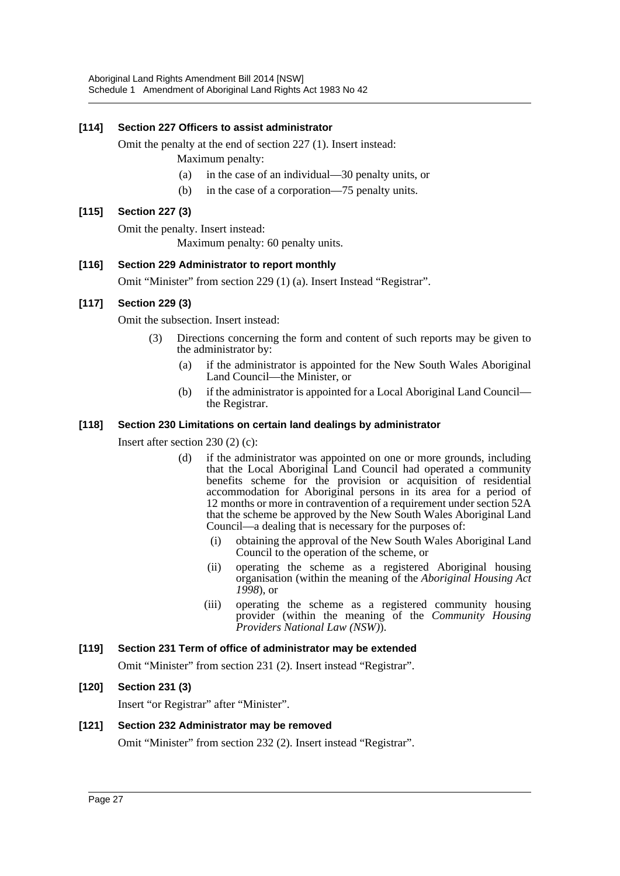## **[114] Section 227 Officers to assist administrator**

Omit the penalty at the end of section 227 (1). Insert instead:

- Maximum penalty:
- (a) in the case of an individual—30 penalty units, or
- (b) in the case of a corporation—75 penalty units.

## **[115] Section 227 (3)**

Omit the penalty. Insert instead:

Maximum penalty: 60 penalty units.

## **[116] Section 229 Administrator to report monthly**

Omit "Minister" from section 229 (1) (a). Insert Instead "Registrar".

## **[117] Section 229 (3)**

Omit the subsection. Insert instead:

- (3) Directions concerning the form and content of such reports may be given to the administrator by:
	- (a) if the administrator is appointed for the New South Wales Aboriginal Land Council—the Minister, or
	- (b) if the administrator is appointed for a Local Aboriginal Land Council the Registrar.

## **[118] Section 230 Limitations on certain land dealings by administrator**

Insert after section 230 (2) (c):

- (d) if the administrator was appointed on one or more grounds, including that the Local Aboriginal Land Council had operated a community benefits scheme for the provision or acquisition of residential accommodation for Aboriginal persons in its area for a period of 12 months or more in contravention of a requirement under section 52A that the scheme be approved by the New South Wales Aboriginal Land Council—a dealing that is necessary for the purposes of:
	- (i) obtaining the approval of the New South Wales Aboriginal Land Council to the operation of the scheme, or
	- (ii) operating the scheme as a registered Aboriginal housing organisation (within the meaning of the *Aboriginal Housing Act 1998*), or
	- (iii) operating the scheme as a registered community housing provider (within the meaning of the *Community Housing Providers National Law (NSW)*).

## **[119] Section 231 Term of office of administrator may be extended**

Omit "Minister" from section 231 (2). Insert instead "Registrar".

## **[120] Section 231 (3)**

Insert "or Registrar" after "Minister".

## **[121] Section 232 Administrator may be removed**

Omit "Minister" from section 232 (2). Insert instead "Registrar".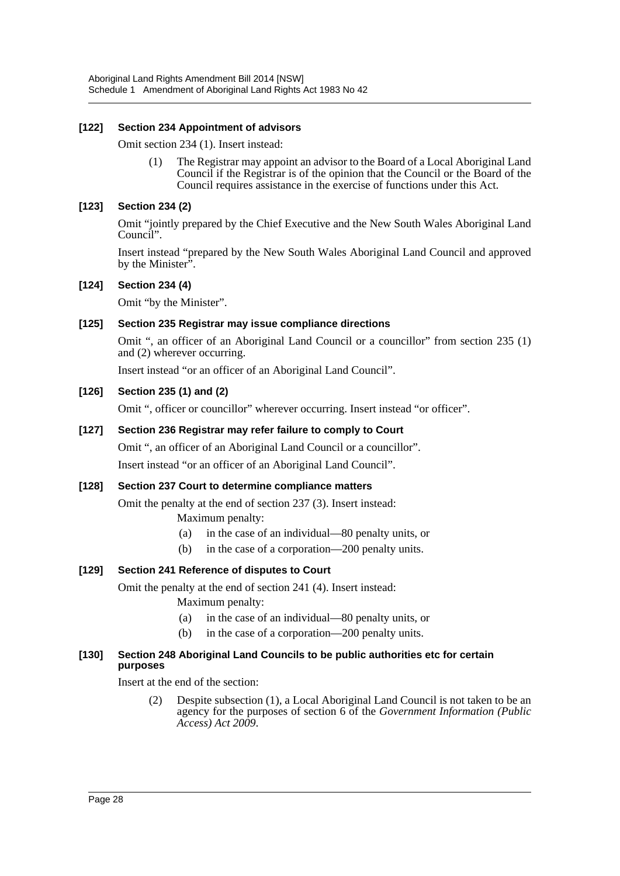Aboriginal Land Rights Amendment Bill 2014 [NSW] Schedule 1 Amendment of Aboriginal Land Rights Act 1983 No 42

#### **[122] Section 234 Appointment of advisors**

Omit section 234 (1). Insert instead:

(1) The Registrar may appoint an advisor to the Board of a Local Aboriginal Land Council if the Registrar is of the opinion that the Council or the Board of the Council requires assistance in the exercise of functions under this Act.

#### **[123] Section 234 (2)**

Omit "jointly prepared by the Chief Executive and the New South Wales Aboriginal Land Council".

Insert instead "prepared by the New South Wales Aboriginal Land Council and approved by the Minister<sup>"</sup>.

#### **[124] Section 234 (4)**

Omit "by the Minister".

#### **[125] Section 235 Registrar may issue compliance directions**

Omit ", an officer of an Aboriginal Land Council or a councillor" from section 235 (1) and (2) wherever occurring.

Insert instead "or an officer of an Aboriginal Land Council".

#### **[126] Section 235 (1) and (2)**

Omit ", officer or councillor" wherever occurring. Insert instead "or officer".

#### **[127] Section 236 Registrar may refer failure to comply to Court**

Omit ", an officer of an Aboriginal Land Council or a councillor".

Insert instead "or an officer of an Aboriginal Land Council".

#### **[128] Section 237 Court to determine compliance matters**

Omit the penalty at the end of section 237 (3). Insert instead:

Maximum penalty:

- (a) in the case of an individual—80 penalty units, or
- (b) in the case of a corporation—200 penalty units.

## **[129] Section 241 Reference of disputes to Court**

Omit the penalty at the end of section 241 (4). Insert instead:

- Maximum penalty:
- (a) in the case of an individual—80 penalty units, or
- (b) in the case of a corporation—200 penalty units.

#### **[130] Section 248 Aboriginal Land Councils to be public authorities etc for certain purposes**

Insert at the end of the section:

(2) Despite subsection (1), a Local Aboriginal Land Council is not taken to be an agency for the purposes of section 6 of the *Government Information (Public Access) Act 2009*.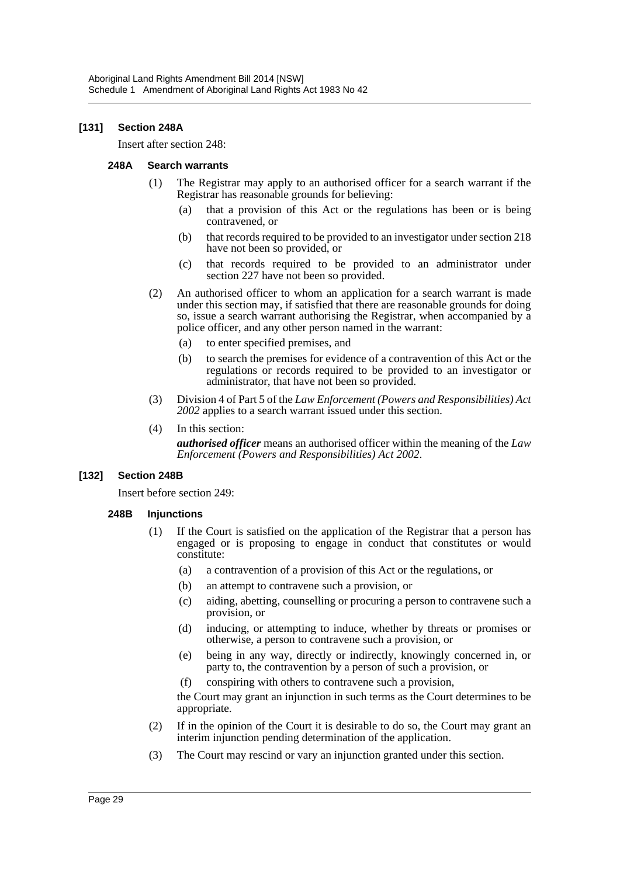#### **[131] Section 248A**

Insert after section 248:

#### **248A Search warrants**

- (1) The Registrar may apply to an authorised officer for a search warrant if the Registrar has reasonable grounds for believing:
	- (a) that a provision of this Act or the regulations has been or is being contravened, or
	- (b) that records required to be provided to an investigator under section 218 have not been so provided, or
	- (c) that records required to be provided to an administrator under section 227 have not been so provided.
- (2) An authorised officer to whom an application for a search warrant is made under this section may, if satisfied that there are reasonable grounds for doing so, issue a search warrant authorising the Registrar, when accompanied by a police officer, and any other person named in the warrant:
	- (a) to enter specified premises, and
	- (b) to search the premises for evidence of a contravention of this Act or the regulations or records required to be provided to an investigator or administrator, that have not been so provided.
- (3) Division 4 of Part 5 of the *Law Enforcement (Powers and Responsibilities) Act 2002* applies to a search warrant issued under this section.
- (4) In this section:

*authorised officer* means an authorised officer within the meaning of the *Law Enforcement (Powers and Responsibilities) Act 2002*.

#### **[132] Section 248B**

Insert before section 249:

#### **248B Injunctions**

- (1) If the Court is satisfied on the application of the Registrar that a person has engaged or is proposing to engage in conduct that constitutes or would constitute:
	- (a) a contravention of a provision of this Act or the regulations, or
	- (b) an attempt to contravene such a provision, or
	- (c) aiding, abetting, counselling or procuring a person to contravene such a provision, or
	- (d) inducing, or attempting to induce, whether by threats or promises or otherwise, a person to contravene such a provision, or
	- (e) being in any way, directly or indirectly, knowingly concerned in, or party to, the contravention by a person of such a provision, or
	- (f) conspiring with others to contravene such a provision,

the Court may grant an injunction in such terms as the Court determines to be appropriate.

- (2) If in the opinion of the Court it is desirable to do so, the Court may grant an interim injunction pending determination of the application.
- (3) The Court may rescind or vary an injunction granted under this section.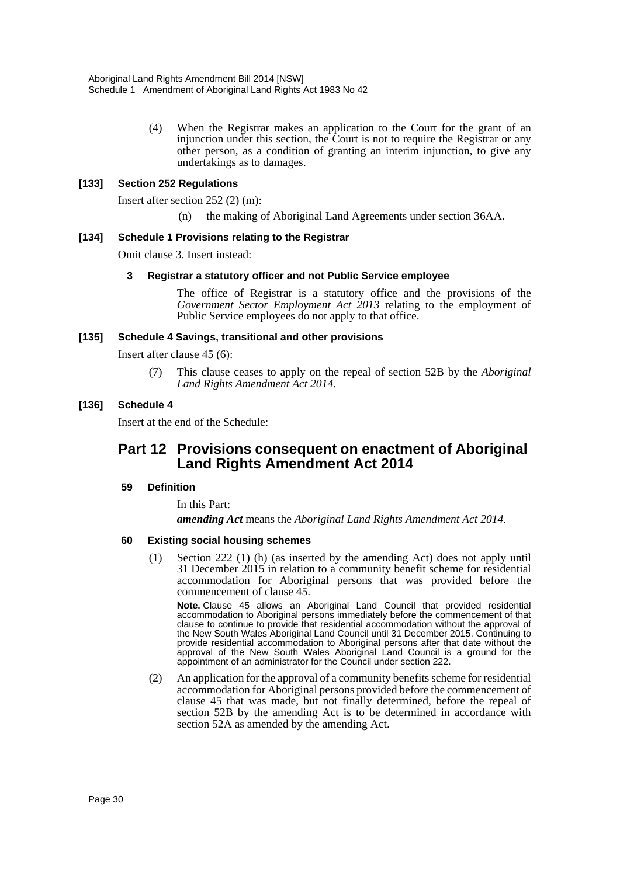(4) When the Registrar makes an application to the Court for the grant of an injunction under this section, the Court is not to require the Registrar or any other person, as a condition of granting an interim injunction, to give any undertakings as to damages.

#### **[133] Section 252 Regulations**

Insert after section 252 (2) (m):

(n) the making of Aboriginal Land Agreements under section 36AA.

#### **[134] Schedule 1 Provisions relating to the Registrar**

Omit clause 3. Insert instead:

#### **3 Registrar a statutory officer and not Public Service employee**

The office of Registrar is a statutory office and the provisions of the *Government Sector Employment Act 2013* relating to the employment of Public Service employees do not apply to that office.

#### **[135] Schedule 4 Savings, transitional and other provisions**

Insert after clause 45 (6):

(7) This clause ceases to apply on the repeal of section 52B by the *Aboriginal Land Rights Amendment Act 2014*.

#### **[136] Schedule 4**

Insert at the end of the Schedule:

## **Part 12 Provisions consequent on enactment of Aboriginal Land Rights Amendment Act 2014**

#### **59 Definition**

In this Part:

*amending Act* means the *Aboriginal Land Rights Amendment Act 2014*.

#### **60 Existing social housing schemes**

(1) Section 222 (1) (h) (as inserted by the amending Act) does not apply until 31 December 2015 in relation to a community benefit scheme for residential accommodation for Aboriginal persons that was provided before the commencement of clause 45.

**Note.** Clause 45 allows an Aboriginal Land Council that provided residential accommodation to Aboriginal persons immediately before the commencement of that clause to continue to provide that residential accommodation without the approval of the New South Wales Aboriginal Land Council until 31 December 2015. Continuing to provide residential accommodation to Aboriginal persons after that date without the approval of the New South Wales Aboriginal Land Council is a ground for the appointment of an administrator for the Council under section 222.

(2) An application for the approval of a community benefits scheme for residential accommodation for Aboriginal persons provided before the commencement of clause 45 that was made, but not finally determined, before the repeal of section 52B by the amending Act is to be determined in accordance with section 52A as amended by the amending Act.